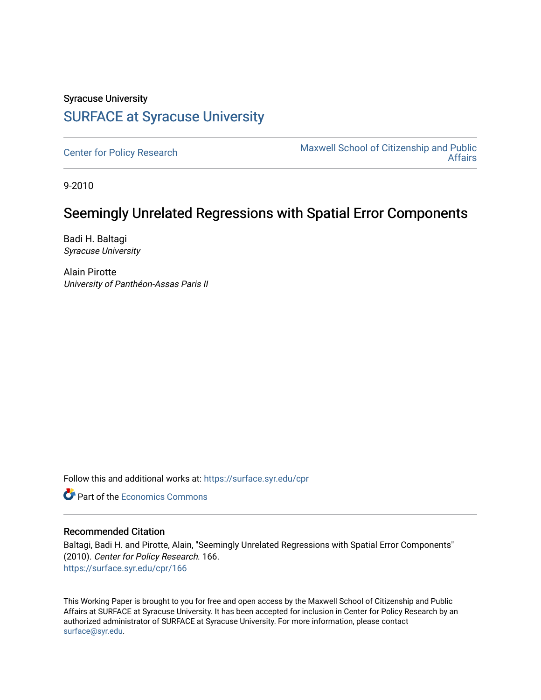# Syracuse University [SURFACE at Syracuse University](https://surface.syr.edu/)

[Center for Policy Research](https://surface.syr.edu/cpr) Maxwell School of Citizenship and Public<br>Affairs [Affairs](https://surface.syr.edu/maxwell) 

9-2010

# Seemingly Unrelated Regressions with Spatial Error Components

Badi H. Baltagi Syracuse University

Alain Pirotte University of Panthéon-Assas Paris II

Follow this and additional works at: [https://surface.syr.edu/cpr](https://surface.syr.edu/cpr?utm_source=surface.syr.edu%2Fcpr%2F166&utm_medium=PDF&utm_campaign=PDFCoverPages) 

**C** Part of the [Economics Commons](http://network.bepress.com/hgg/discipline/340?utm_source=surface.syr.edu%2Fcpr%2F166&utm_medium=PDF&utm_campaign=PDFCoverPages)

### Recommended Citation

Baltagi, Badi H. and Pirotte, Alain, "Seemingly Unrelated Regressions with Spatial Error Components" (2010). Center for Policy Research. 166. [https://surface.syr.edu/cpr/166](https://surface.syr.edu/cpr/166?utm_source=surface.syr.edu%2Fcpr%2F166&utm_medium=PDF&utm_campaign=PDFCoverPages) 

This Working Paper is brought to you for free and open access by the Maxwell School of Citizenship and Public Affairs at SURFACE at Syracuse University. It has been accepted for inclusion in Center for Policy Research by an authorized administrator of SURFACE at Syracuse University. For more information, please contact [surface@syr.edu.](mailto:surface@syr.edu)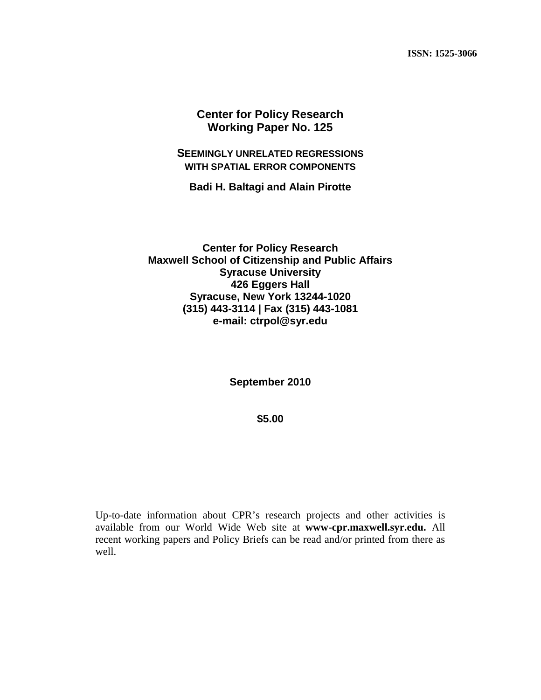**ISSN: 1525-3066**

**Center for Policy Research Working Paper No. 125**

**SEEMINGLY UNRELATED REGRESSIONS WITH SPATIAL ERROR COMPONENTS**

**Badi H. Baltagi and Alain Pirotte**

**Center for Policy Research Maxwell School of Citizenship and Public Affairs Syracuse University 426 Eggers Hall Syracuse, New York 13244-1020 (315) 443-3114 | Fax (315) 443-1081 e-mail: ctrpol@syr.edu**

**September 2010**

**\$5.00**

Up-to-date information about CPR's research projects and other activities is available from our World Wide Web site at **www-cpr.maxwell.syr.edu.** All recent working papers and Policy Briefs can be read and/or printed from there as well.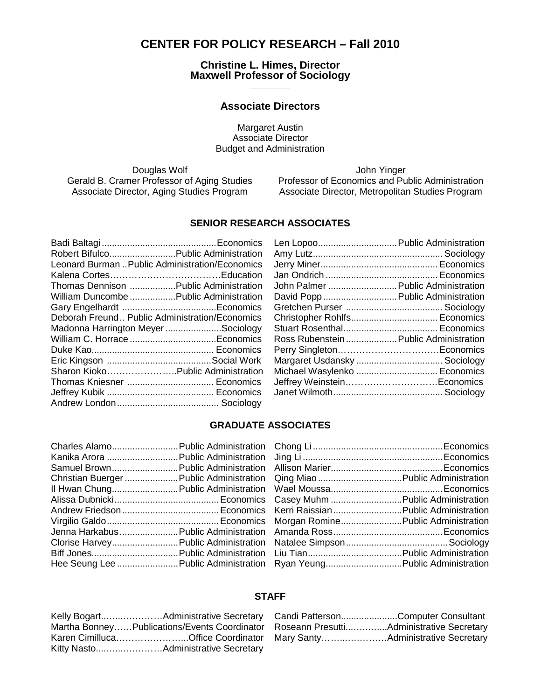# **CENTER FOR POLICY RESEARCH – Fall 2010**

**Christine L. Himes, Director Maxwell Professor of Sociology \_\_\_\_\_\_\_\_\_\_**

### **Associate Directors**

Margaret Austin Associate Director Budget and Administration

Douglas Wolf **Article Struck and Article Struck** John Yinger

Gerald B. Cramer Professor of Aging Studies Professor of Economics and Public Administration Associate Director, Aging Studies Program Associate Director, Metropolitan Studies Program

### **SENIOR RESEARCH ASSOCIATES**

| Robert Bifulco Public Administration            |
|-------------------------------------------------|
| Leonard Burman  Public Administration/Economics |
|                                                 |
| Thomas Dennison  Public Administration          |
| William Duncombe  Public Administration         |
|                                                 |
| Deborah Freund Public Administration/Economics  |
| Madonna Harrington MeyerSociology               |
|                                                 |
|                                                 |
|                                                 |
| Sharon KiokoPublic Administration               |
| Thomas Kniesner  Economics                      |
|                                                 |
|                                                 |
|                                                 |

| Len Lopoo Public Administration        |  |
|----------------------------------------|--|
|                                        |  |
|                                        |  |
|                                        |  |
| John Palmer  Public Administration     |  |
| David Popp  Public Administration      |  |
|                                        |  |
|                                        |  |
|                                        |  |
| Ross Rubenstein  Public Administration |  |
|                                        |  |
| Margaret Usdansky  Sociology           |  |
| Michael Wasylenko  Economics           |  |
| Jeffrey WeinsteinEconomics             |  |
|                                        |  |
|                                        |  |

### **GRADUATE ASSOCIATES**

| Charles Alamo Public Administration      |  |
|------------------------------------------|--|
| Kanika Arora  Public Administration      |  |
| Samuel Brown Public Administration       |  |
| Christian Buerger  Public Administration |  |
| Il Hwan Chung Public Administration      |  |
|                                          |  |
|                                          |  |
|                                          |  |
| Jenna Harkabus Public Administration     |  |
| Clorise Harvey Public Administration     |  |
|                                          |  |
| Hee Seung Lee  Public Administration     |  |
|                                          |  |

| Casey Muhm  Public Administration    |  |
|--------------------------------------|--|
| Kerri Raissian Public Administration |  |
| Morgan Romine Public Administration  |  |
|                                      |  |
|                                      |  |
|                                      |  |
| Ryan YeungPublic Administration      |  |

#### **STAFF**

| Martha BonneyPublications/Events Coordinator |
|----------------------------------------------|
| Karen CimillucaOffice Coordinator            |
|                                              |

| Candi PattersonComputer Consultant       |  |
|------------------------------------------|--|
| Roseann PresuttiAdministrative Secretary |  |
| Mary SantyAdministrative Secretary       |  |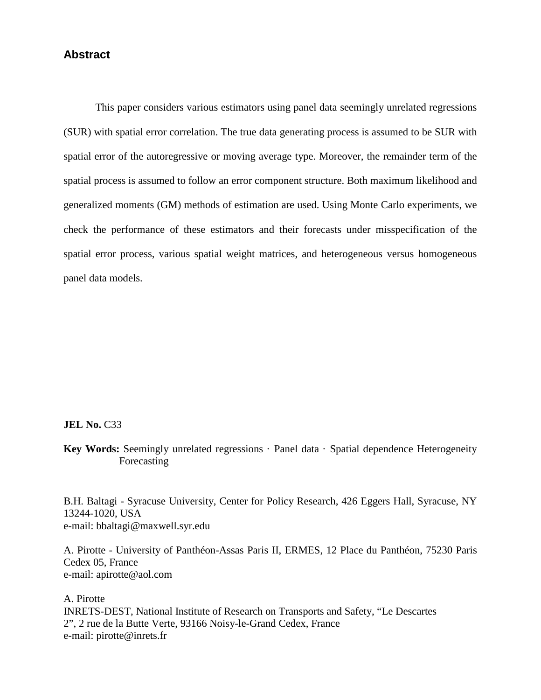## **Abstract**

This paper considers various estimators using panel data seemingly unrelated regressions (SUR) with spatial error correlation. The true data generating process is assumed to be SUR with spatial error of the autoregressive or moving average type. Moreover, the remainder term of the spatial process is assumed to follow an error component structure. Both maximum likelihood and generalized moments (GM) methods of estimation are used. Using Monte Carlo experiments, we check the performance of these estimators and their forecasts under misspecification of the spatial error process, various spatial weight matrices, and heterogeneous versus homogeneous panel data models.

#### **JEL No. C33**

Key Words: Seemingly unrelated regressions · Panel data · Spatial dependence Heterogeneity Forecasting

B.H. Baltagi - Syracuse University, Center for Policy Research, 426 Eggers Hall, Syracuse, NY 13244-1020, USA e-mail: bbaltagi@maxwell.syr.edu

A. Pirotte - University of Panthéon-Assas Paris II, ERMES, 12 Place du Panthéon, 75230 Paris Cedex 05, France e-mail: apirotte@aol.com

A. Pirotte INRETS-DEST, National Institute of Research on Transports and Safety, "Le Descartes 2", 2 rue de la Butte Verte, 93166 Noisy-le-Grand Cedex, France e-mail: pirotte@inrets.fr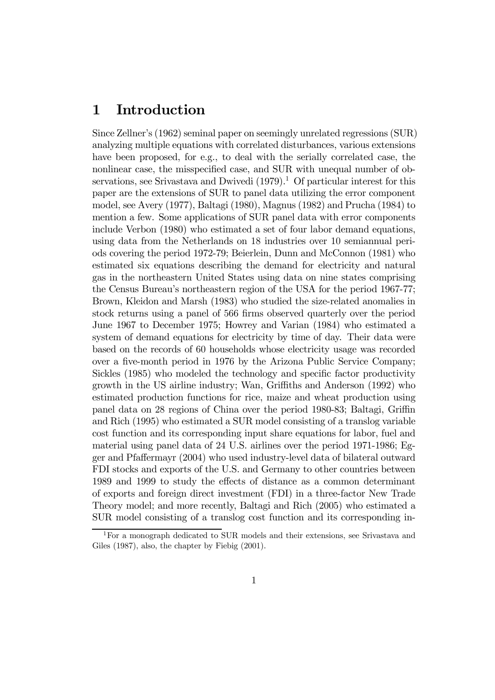# 1 Introduction

Since Zellner's (1962) seminal paper on seemingly unrelated regressions (SUR) analyzing multiple equations with correlated disturbances, various extensions have been proposed, for e.g., to deal with the serially correlated case, the nonlinear case, the misspecified case, and SUR with unequal number of observations, see Srivastava and Dwivedi  $(1979)^{1}$ . Of particular interest for this paper are the extensions of SUR to panel data utilizing the error component model, see Avery (1977), Baltagi (1980), Magnus (1982) and Prucha (1984) to mention a few. Some applications of SUR panel data with error components include Verbon (1980) who estimated a set of four labor demand equations, using data from the Netherlands on 18 industries over 10 semiannual periods covering the period 1972-79; Beierlein, Dunn and McConnon (1981) who estimated six equations describing the demand for electricity and natural gas in the northeastern United States using data on nine states comprising the Census Bureau's northeastern region of the USA for the period 1967-77; Brown, Kleidon and Marsh (1983) who studied the size-related anomalies in stock returns using a panel of 566 firms observed quarterly over the period June 1967 to December 1975; Howrey and Varian (1984) who estimated a system of demand equations for electricity by time of day. Their data were based on the records of 60 households whose electricity usage was recorded over a five-month period in 1976 by the Arizona Public Service Company; Sickles (1985) who modeled the technology and specific factor productivity growth in the US airline industry; Wan, Griffiths and Anderson (1992) who estimated production functions for rice, maize and wheat production using panel data on 28 regions of China over the period 1980-83; Baltagi, Griffin and Rich (1995) who estimated a SUR model consisting of a translog variable cost function and its corresponding input share equations for labor, fuel and material using panel data of 24 U.S. airlines over the period 1971-1986; Egger and Pfaffermayr (2004) who used industry-level data of bilateral outward FDI stocks and exports of the U.S. and Germany to other countries between 1989 and 1999 to study the effects of distance as a common determinant of exports and foreign direct investment (FDI) in a three-factor New Trade Theory model; and more recently, Baltagi and Rich (2005) who estimated a SUR model consisting of a translog cost function and its corresponding in-

<sup>&</sup>lt;sup>1</sup>For a monograph dedicated to SUR models and their extensions, see Srivastava and Giles (1987), also, the chapter by Fiebig (2001).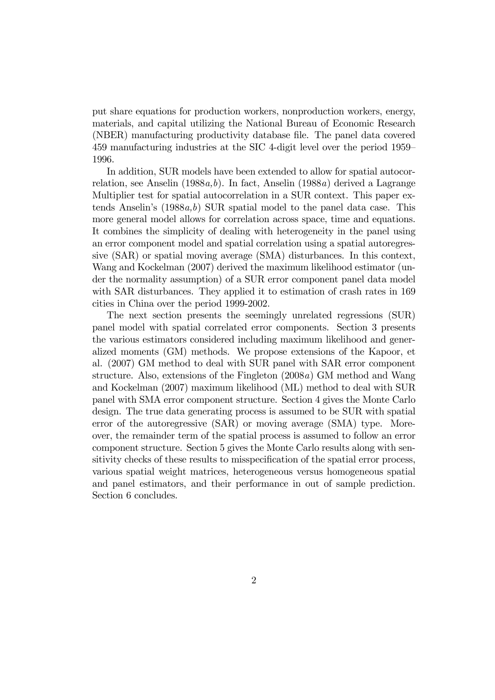put share equations for production workers, nonproduction workers, energy, materials, and capital utilizing the National Bureau of Economic Research (NBER) manufacturing productivity database file. The panel data covered 459 manufacturing industries at the SIC 4-digit level over the period 1959— 1996.

In addition, SUR models have been extended to allow for spatial autocorrelation, see Anselin (1988a,b). In fact, Anselin (1988a) derived a Lagrange Multiplier test for spatial autocorrelation in a SUR context. This paper extends Anselin's  $(1988a,b)$  SUR spatial model to the panel data case. This more general model allows for correlation across space, time and equations. It combines the simplicity of dealing with heterogeneity in the panel using an error component model and spatial correlation using a spatial autoregressive (SAR) or spatial moving average (SMA) disturbances. In this context, Wang and Kockelman (2007) derived the maximum likelihood estimator (under the normality assumption) of a SUR error component panel data model with SAR disturbances. They applied it to estimation of crash rates in 169 cities in China over the period 1999-2002.

The next section presents the seemingly unrelated regressions (SUR) panel model with spatial correlated error components. Section 3 presents the various estimators considered including maximum likelihood and generalized moments (GM) methods. We propose extensions of the Kapoor, et al. (2007) GM method to deal with SUR panel with SAR error component structure. Also, extensions of the Fingleton (2008a) GM method and Wang and Kockelman (2007) maximum likelihood (ML) method to deal with SUR panel with SMA error component structure. Section 4 gives the Monte Carlo design. The true data generating process is assumed to be SUR with spatial error of the autoregressive (SAR) or moving average (SMA) type. Moreover, the remainder term of the spatial process is assumed to follow an error component structure. Section 5 gives the Monte Carlo results along with sensitivity checks of these results to misspecification of the spatial error process, various spatial weight matrices, heterogeneous versus homogeneous spatial and panel estimators, and their performance in out of sample prediction. Section 6 concludes.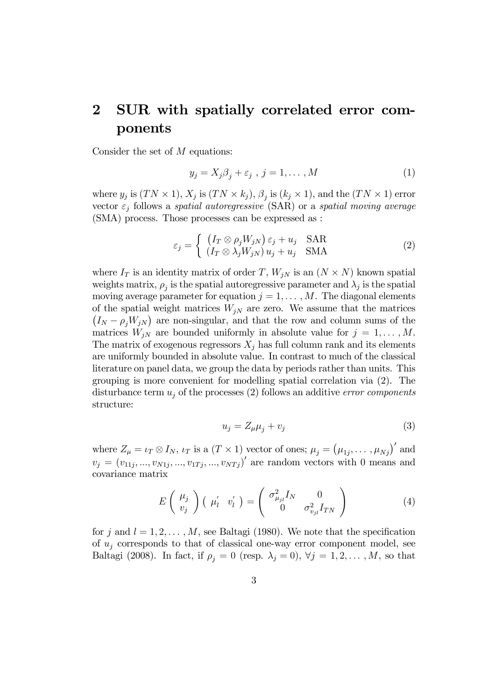# 2 SUR with spatially correlated error components

Consider the set of M equations:

$$
y_j = X_j \beta_j + \varepsilon_j \, , \, j = 1, \dots, M \tag{1}
$$

where  $y_j$  is  $(TN \times 1)$ ,  $X_j$  is  $(TN \times k_j)$ ,  $\beta_j$  is  $(k_j \times 1)$ , and the  $(TN \times 1)$  error vector  $\varepsilon_i$  follows a *spatial autoregressive* (SAR) or a *spatial moving average* (SMA) process. Those processes can be expressed as :

$$
\varepsilon_j = \begin{cases} (I_T \otimes \rho_j W_{jN}) \varepsilon_j + u_j & \text{SAR} \\ (I_T \otimes \lambda_j W_{jN}) u_j + u_j & \text{SMA} \end{cases}
$$
(2)

where  $I_T$  is an identity matrix of order T,  $W_{jN}$  is an  $(N \times N)$  known spatial weights matrix,  $\rho_j$  is the spatial autoregressive parameter and  $\lambda_j$  is the spatial moving average parameter for equation  $j = 1, \ldots, M$ . The diagonal elements of the spatial weight matrices  $W_{iN}$  are zero. We assume that the matrices  $(I_N - \rho_j W_{jN})$  are non-singular, and that the row and column sums of the matrices  $W_{iN}$  are bounded uniformly in absolute value for  $j = 1, ..., M$ . The matrix of exogenous regressors  $X_i$  has full column rank and its elements are uniformly bounded in absolute value. In contrast to much of the classical literature on panel data, we group the data by periods rather than units. This grouping is more convenient for modelling spatial correlation via (2). The disturbance term  $u_i$  of the processes (2) follows an additive error components structure:

$$
u_j = Z_{\mu}\mu_j + v_j \tag{3}
$$

where  $Z_{\mu} = \iota_T \otimes I_N$ ,  $\iota_T$  is a  $(T \times 1)$  vector of ones;  $\mu_j = (\mu_{1j}, \dots, \mu_{Nj})'$  and  $v_j = (v_{11j}, ..., v_{N1j}, ..., v_{1Tj}, ..., v_{NTj})'$  are random vectors with 0 means and covariance matrix

$$
E\left(\begin{array}{c}\mu_j\\v_j\end{array}\right)\left(\begin{array}{cc}\mu'_l&v'_l\end{array}\right)=\left(\begin{array}{cc}\sigma_{\mu_{jl}}^2I_N&0\\0&\sigma_{v_{jl}}^2I_{TN}\end{array}\right)
$$
(4)

for j and  $l = 1, 2, \ldots, M$ , see Baltagi (1980). We note that the specification of  $u_i$  corresponds to that of classical one-way error component model, see Baltagi (2008). In fact, if  $\rho_j = 0$  (resp.  $\lambda_j = 0$ ),  $\forall j = 1, 2, ..., M$ , so that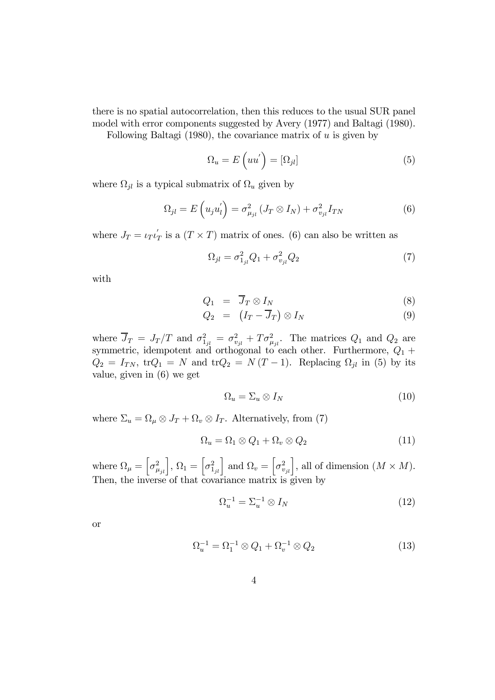there is no spatial autocorrelation, then this reduces to the usual SUR panel model with error components suggested by Avery (1977) and Baltagi (1980).

Following Baltagi (1980), the covariance matrix of  $u$  is given by

$$
\Omega_u = E\left(uu'\right) = [\Omega_{jl}] \tag{5}
$$

where  $\Omega_{jl}$  is a typical submatrix of  $\Omega_u$  given by

$$
\Omega_{jl} = E\left(u_j u_l'\right) = \sigma_{\mu_{jl}}^2 \left(J_T \otimes I_N\right) + \sigma_{v_{jl}}^2 I_{TN} \tag{6}
$$

where  $J_T = \iota_T \iota'_T$  $T_T$  is a  $(T \times T)$  matrix of ones. (6) can also be written as

$$
\Omega_{jl} = \sigma_{1_{jl}}^2 Q_1 + \sigma_{v_{jl}}^2 Q_2 \tag{7}
$$

with

$$
Q_1 = \overline{J}_T \otimes I_N \tag{8}
$$

$$
Q_2 = (I_T - \overline{J}_T) \otimes I_N \tag{9}
$$

where  $\overline{J}_T = J_T/T$  and  $\sigma_{1_{jl}}^2 = \sigma_{v_{jl}}^2 + T\sigma_{\mu_{jl}}^2$ . The matrices  $Q_1$  and  $Q_2$  are symmetric, idempotent and orthogonal to each other. Furthermore,  $Q_1$  +  $Q_2 = I_{TN}$ , tr $Q_1 = N$  and tr $Q_2 = N(T-1)$ . Replacing  $\Omega_{jl}$  in (5) by its value, given in (6) we get

$$
\Omega_u = \Sigma_u \otimes I_N \tag{10}
$$

where  $\Sigma_u = \Omega_\mu \otimes J_T + \Omega_v \otimes I_T$ . Alternatively, from (7)

$$
\Omega_u = \Omega_1 \otimes Q_1 + \Omega_v \otimes Q_2 \tag{11}
$$

where  $\Omega_{\mu} = \left[\sigma_{\mu_{jl}}^2\right], \Omega_1 = \left[\sigma_{1_{jl}}^2\right]$  and  $\Omega_{v} = \left[\sigma_{v_{jl}}^2\right],$  all of dimension  $(M \times M)$ . Then, the inverse of that covariance matrix is given by

$$
\Omega_u^{-1} = \Sigma_u^{-1} \otimes I_N \tag{12}
$$

or

$$
\Omega_u^{-1} = \Omega_1^{-1} \otimes Q_1 + \Omega_v^{-1} \otimes Q_2 \tag{13}
$$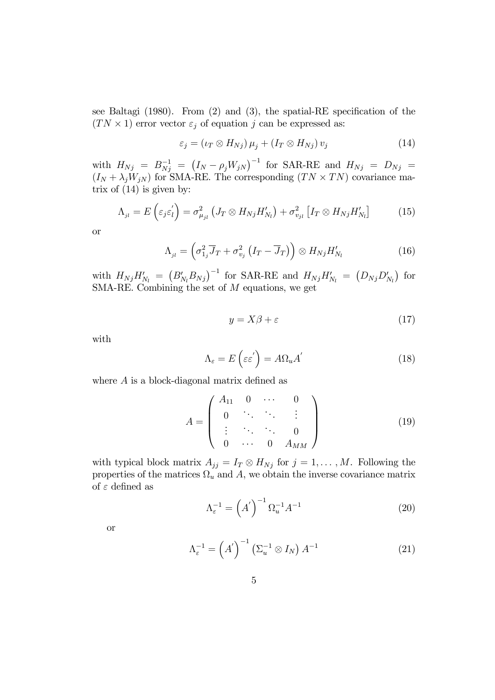see Baltagi (1980). From (2) and (3), the spatial-RE specification of the  $(TN \times 1)$  error vector  $\varepsilon_j$  of equation j can be expressed as:

$$
\varepsilon_j = (\iota_T \otimes H_{Nj}) \mu_j + (I_T \otimes H_{Nj}) v_j \tag{14}
$$

with  $H_{Nj}$  =  $B^{-1}_{Nj}$  =  $(I_N - \rho_j W_{jN})^{-1}$  for SAR-RE and  $H_{Nj}$  =  $D_{Nj}$  =  $(I_N + \lambda_j W_{jN})$  for SMA-RE. The corresponding  $(TN \times TN)$  covariance matrix of (14) is given by:

$$
\Lambda_{_{jl}} = E\left(\varepsilon_j \varepsilon_l'\right) = \sigma_{\mu_{jl}}^2 \left(J_T \otimes H_{Nj} H'_{N_l}\right) + \sigma_{v_{jl}}^2 \left[I_T \otimes H_{Nj} H'_{N_l}\right] \tag{15}
$$

or

$$
\Lambda_{_{jl}} = \left(\sigma_{1_j}^2 \overline{J}_T + \sigma_{v_j}^2 \left(I_T - \overline{J}_T\right)\right) \otimes H_{Nj} H'_{N_l} \tag{16}
$$

with  $H_{Nj}H'_{N_l} = (B'_{N_l}B_{N_j})^{-1}$  for SAR-RE and  $H_{Nj}H'_{N_l} = (D_{Nj}D'_{N_l})$  for SMA-RE. Combining the set of  $M$  equations, we get

$$
y = X\beta + \varepsilon \tag{17}
$$

with

$$
\Lambda_{\varepsilon} = E\left(\varepsilon \varepsilon^{'}\right) = A\Omega_{u}A^{'}\tag{18}
$$

where A is a block-diagonal matrix defined as

$$
A = \begin{pmatrix} A_{11} & 0 & \cdots & 0 \\ 0 & \ddots & \ddots & \vdots \\ \vdots & \ddots & \ddots & 0 \\ 0 & \cdots & 0 & A_{MM} \end{pmatrix}
$$
 (19)

with typical block matrix  $A_{jj} = I_T \otimes H_{Nj}$  for  $j = 1, ..., M$ . Following the properties of the matrices  $\Omega_u$  and A, we obtain the inverse covariance matrix of  $\varepsilon$  defined as

$$
\Lambda_{\varepsilon}^{-1} = \left(A'\right)^{-1} \Omega_u^{-1} A^{-1} \tag{20}
$$

or

$$
\Lambda_{\varepsilon}^{-1} = \left(A'\right)^{-1} \left(\Sigma_u^{-1} \otimes I_N\right) A^{-1} \tag{21}
$$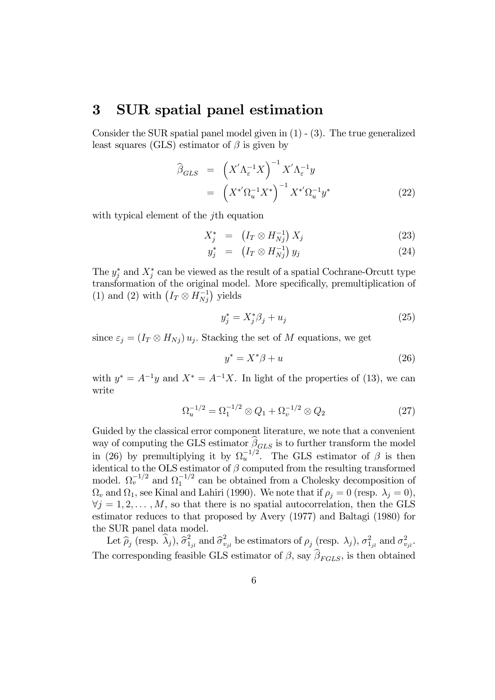## 3 SUR spatial panel estimation

Consider the SUR spatial panel model given in (1) - (3). The true generalized least squares (GLS) estimator of  $\beta$  is given by

$$
\widehat{\beta}_{GLS} = \left(X'\Lambda_{\varepsilon}^{-1}X\right)^{-1} X'\Lambda_{\varepsilon}^{-1}y
$$
\n
$$
= \left(X^*\Omega_u^{-1}X^*\right)^{-1} X^*\Omega_u^{-1}y^* \tag{22}
$$

with typical element of the *j*th equation

$$
X_j^* = (I_T \otimes H_{Nj}^{-1}) X_j \tag{23}
$$

$$
y_j^* = (I_T \otimes H_{Nj}^{-1}) y_j \tag{24}
$$

The  $y_j^*$  and  $X_j^*$  can be viewed as the result of a spatial Cochrane-Orcutt type transformation of the original model. More specifically, premultiplication of (1) and (2) with  $(I_T \otimes H_{Nj}^{-1})$  yields

$$
y_j^* = X_j^* \beta_j + u_j \tag{25}
$$

since  $\varepsilon_j = (I_T \otimes H_{Nj}) u_j$ . Stacking the set of M equations, we get

$$
y^* = X^*\beta + u \tag{26}
$$

with  $y^* = A^{-1}y$  and  $X^* = A^{-1}X$ . In light of the properties of (13), we can write

$$
\Omega_u^{-1/2} = \Omega_1^{-1/2} \otimes Q_1 + \Omega_v^{-1/2} \otimes Q_2 \tag{27}
$$

Guided by the classical error component literature, we note that a convenient way of computing the GLS estimator  $\beta_{GLS}$  is to further transform the model in (26) by premultiplying it by  $\Omega_u^{-1/2}$ . The GLS estimator of  $\beta$  is then identical to the OLS estimator of  $\beta$  computed from the resulting transformed model.  $\Omega_v^{-1/2}$  and  $\Omega_1^{-1/2}$  can be obtained from a Cholesky decomposition of  $\Omega_v$  and  $\Omega_1$ , see Kinal and Lahiri (1990). We note that if  $\rho_i = 0$  (resp.  $\lambda_j = 0$ ),  $\forall j = 1, 2, \ldots, M$ , so that there is no spatial autocorrelation, then the GLS estimator reduces to that proposed by Avery (1977) and Baltagi (1980) for the SUR panel data model.

Let  $\hat{\rho}_j$  (resp.  $\hat{\lambda}_j$ ),  $\hat{\sigma}_1^2$  $\frac{2}{1_{jl}}$  and  $\widehat{\sigma}_{v}^{2}$  $v_{ijl}^2$  be estimators of  $\rho_j$  (resp.  $\lambda_j$ ),  $\sigma_{1_{jl}}^2$  and  $\sigma_v^2$  $_{v_{jl}}.$ The corresponding feasible GLS estimator of  $\beta$ , say  $\beta_{FGLS}$ , is then obtained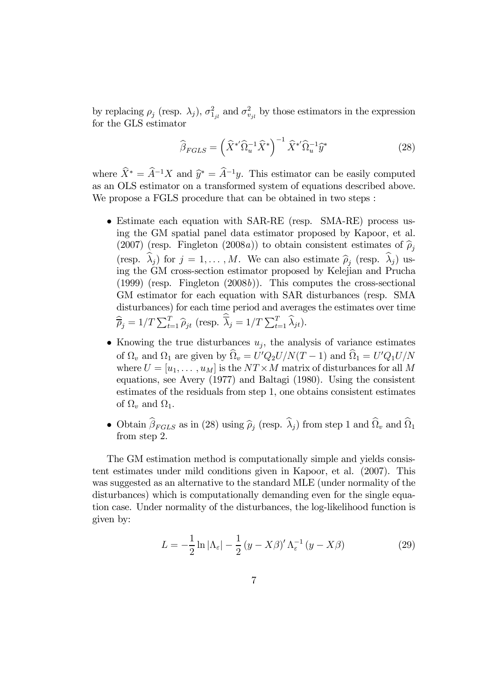by replacing  $\rho_j$  (resp.  $\lambda_j$ ),  $\sigma_{1_{jl}}^2$  and  $\sigma_v^2$  $v_{ijl}^2$  by those estimators in the expression for the GLS estimator

$$
\widehat{\beta}_{FGLS} = \left(\widehat{X}^{*'}\widehat{\Omega}_u^{-1}\widehat{X}^*\right)^{-1}\widehat{X}^{*'}\widehat{\Omega}_u^{-1}\widehat{y}^*
$$
\n(28)

where  $\hat{X}^* = \hat{A}^{-1}X$  and  $\hat{y}^* = \hat{A}^{-1}y$ . This estimator can be easily computed as an OLS estimator on a transformed system of equations described above. We propose a FGLS procedure that can be obtained in two steps :

- Estimate each equation with SAR-RE (resp. SMA-RE) process using the GM spatial panel data estimator proposed by Kapoor, et al. (2007) (resp. Fingleton (2008a)) to obtain consistent estimates of  $\hat{\rho}_i$ (resp.  $\lambda_j$ ) for  $j = 1, ..., M$ . We can also estimate  $\hat{\rho}_j$  (resp.  $\lambda_j$ ) using the GM cross-section estimator proposed by Kelejian and Prucha  $(1999)$  (resp. Fingleton  $(2008b)$ ). This computes the cross-sectional GM estimator for each equation with SAR disturbances (resp. SMA disturbances) for each time period and averages the estimates over time  $\widehat{\overline{\rho}}_j = 1/T \sum_{t=1}^T \widehat{\rho}_{jt}$  (resp.  $\overline{\lambda}_j = 1/T \sum_{t=1}^T \widehat{\lambda}_{jt}$ ).
- Knowing the true disturbances  $u_j$ , the analysis of variance estimates of  $\Omega_v$  and  $\Omega_1$  are given by  $\widehat{\Omega}_v = U'Q_2U/N(T-1)$  and  $\widehat{\Omega}_1 = U'Q_1U/N$ where  $U = [u_1, \dots, u_M]$  is the  $NT \times M$  matrix of disturbances for all M equations, see Avery (1977) and Baltagi (1980). Using the consistent estimates of the residuals from step 1, one obtains consistent estimates of  $\Omega_v$  and  $\Omega_1$ .
- Obtain  $\beta_{FGLS}$  as in (28) using  $\hat{\rho}_j$  (resp.  $\lambda_j$ ) from step 1 and  $\Omega_v$  and  $\Omega_1$ from step 2.

The GM estimation method is computationally simple and yields consistent estimates under mild conditions given in Kapoor, et al. (2007). This was suggested as an alternative to the standard MLE (under normality of the disturbances) which is computationally demanding even for the single equation case. Under normality of the disturbances, the log-likelihood function is given by:

$$
L = -\frac{1}{2}\ln|\Lambda_{\varepsilon}| - \frac{1}{2}(y - X\beta)'\Lambda_{\varepsilon}^{-1}(y - X\beta)
$$
 (29)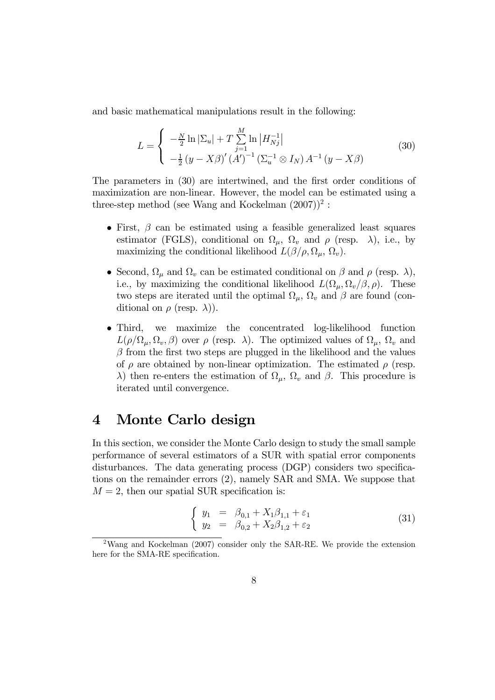and basic mathematical manipulations result in the following:

$$
L = \begin{cases} -\frac{N}{2} \ln |\Sigma_u| + T \sum_{j=1}^{M} \ln |H_{Nj}^{-1}| \\ -\frac{1}{2} (y - X\beta)' (A')^{-1} (\Sigma_u^{-1} \otimes I_N) A^{-1} (y - X\beta) \end{cases}
$$
(30)

The parameters in (30) are intertwined, and the first order conditions of maximization are non-linear. However, the model can be estimated using a three-step method (see Wang and Kockelman  $(2007))^2$ :

- First,  $\beta$  can be estimated using a feasible generalized least squares estimator (FGLS), conditional on  $\Omega_{\mu}$ ,  $\Omega_{\nu}$  and  $\rho$  (resp.  $\lambda$ ), i.e., by maximizing the conditional likelihood  $L(\beta/\rho, \Omega_{\mu}, \Omega_{\nu}).$
- Second,  $\Omega_{\mu}$  and  $\Omega_{\nu}$  can be estimated conditional on  $\beta$  and  $\rho$  (resp.  $\lambda$ ), i.e., by maximizing the conditional likelihood  $L(\Omega_{\mu}, \Omega_{\nu}/\beta, \rho)$ . These two steps are iterated until the optimal  $\Omega_{\mu}$ ,  $\Omega_{\nu}$  and  $\beta$  are found (conditional on  $\rho$  (resp.  $\lambda$ )).
- Third, we maximize the concentrated log-likelihood function  $L(\rho/\Omega_u, \Omega_v, \beta)$  over  $\rho$  (resp.  $\lambda$ ). The optimized values of  $\Omega_u, \Omega_v$  and  $\beta$  from the first two steps are plugged in the likelihood and the values of  $\rho$  are obtained by non-linear optimization. The estimated  $\rho$  (resp. λ) then re-enters the estimation of  $\Omega_{\mu}$ ,  $\Omega_{\nu}$  and  $\beta$ . This procedure is iterated until convergence.

# 4 Monte Carlo design

In this section, we consider the Monte Carlo design to study the small sample performance of several estimators of a SUR with spatial error components disturbances. The data generating process (DGP) considers two specifications on the remainder errors (2), namely SAR and SMA. We suppose that  $M = 2$ , then our spatial SUR specification is:

$$
\begin{cases}\n y_1 = \beta_{0,1} + X_1 \beta_{1,1} + \varepsilon_1 \\
y_2 = \beta_{0,2} + X_2 \beta_{1,2} + \varepsilon_2\n\end{cases} (31)
$$

<sup>2</sup>Wang and Kockelman (2007) consider only the SAR-RE. We provide the extension here for the SMA-RE specification.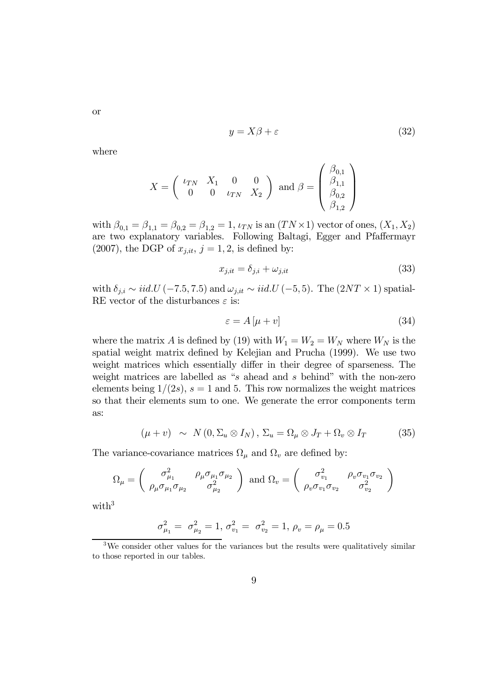$$
y = X\beta + \varepsilon \tag{32}
$$

where

$$
X = \begin{pmatrix} \iota_{TN} & X_1 & 0 & 0 \\ 0 & 0 & \iota_{TN} & X_2 \end{pmatrix} \text{ and } \beta = \begin{pmatrix} \beta_{0,1} \\ \beta_{1,1} \\ \beta_{0,2} \\ \beta_{1,2} \end{pmatrix}
$$

with  $\beta_{0,1} = \beta_{1,1} = \beta_{0,2} = \beta_{1,2} = 1$ ,  $\iota_{TN}$  is an  $(TN \times 1)$  vector of ones,  $(X_1, X_2)$ are two explanatory variables. Following Baltagi, Egger and Pfaffermayr  $(2007)$ , the DGP of  $x_{j,it}$ ,  $j = 1, 2$ , is defined by:

$$
x_{j,it} = \delta_{j,i} + \omega_{j,it} \tag{33}
$$

with  $\delta_{j,i} \sim iid.U(-7.5, 7.5)$  and  $\omega_{j,it} \sim iid.U(-5, 5)$ . The  $(2NT \times 1)$  spatial-RE vector of the disturbances  $\varepsilon$  is:

$$
\varepsilon = A \left[ \mu + v \right] \tag{34}
$$

where the matrix A is defined by (19) with  $W_1 = W_2 = W_N$  where  $W_N$  is the spatial weight matrix defined by Kelejian and Prucha (1999). We use two weight matrices which essentially differ in their degree of sparseness. The weight matrices are labelled as "s ahead and s behind" with the non-zero elements being  $1/(2s)$ ,  $s = 1$  and 5. This row normalizes the weight matrices so that their elements sum to one. We generate the error components term as:

$$
(\mu + v) \sim N(0, \Sigma_u \otimes I_N), \Sigma_u = \Omega_\mu \otimes J_T + \Omega_v \otimes I_T \tag{35}
$$

The variance-covariance matrices  $\Omega_{\mu}$  and  $\Omega_{\nu}$  are defined by:

$$
\Omega_{\mu} = \begin{pmatrix} \sigma_{\mu_1}^2 & \rho_{\mu} \sigma_{\mu_1} \sigma_{\mu_2} \\ \rho_{\mu} \sigma_{\mu_1} \sigma_{\mu_2} & \sigma_{\mu_2}^2 \end{pmatrix} \text{ and } \Omega_{v} = \begin{pmatrix} \sigma_{v_1}^2 & \rho_{v} \sigma_{v_1} \sigma_{v_2} \\ \rho_{v} \sigma_{v_1} \sigma_{v_2} & \sigma_{v_2}^2 \end{pmatrix}
$$

with $3$ 

$$
\sigma_{\mu_1}^2 = \sigma_{\mu_2}^2 = 1, \sigma_{v_1}^2 = \sigma_{v_2}^2 = 1, \rho_v = \rho_\mu = 0.5
$$

or

<sup>&</sup>lt;sup>3</sup>We consider other values for the variances but the results were qualitatively similar to those reported in our tables.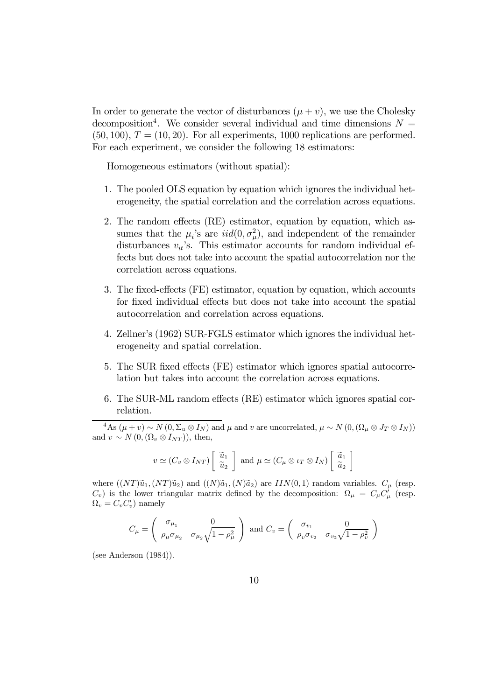In order to generate the vector of disturbances  $(\mu + v)$ , we use the Cholesky decomposition<sup>4</sup>. We consider several individual and time dimensions  $N =$  $(50, 100), T = (10, 20).$  For all experiments, 1000 replications are performed. For each experiment, we consider the following 18 estimators:

Homogeneous estimators (without spatial):

- 1. The pooled OLS equation by equation which ignores the individual heterogeneity, the spatial correlation and the correlation across equations.
- 2. The random effects (RE) estimator, equation by equation, which assumes that the  $\mu_i$ 's are  $iid(0, \sigma_\mu^2)$ , and independent of the remainder disturbances  $v_{it}$ 's. This estimator accounts for random individual effects but does not take into account the spatial autocorrelation nor the correlation across equations.
- 3. The fixed-effects (FE) estimator, equation by equation, which accounts for fixed individual effects but does not take into account the spatial autocorrelation and correlation across equations.
- 4. Zellner's (1962) SUR-FGLS estimator which ignores the individual heterogeneity and spatial correlation.
- 5. The SUR fixed effects (FE) estimator which ignores spatial autocorrelation but takes into account the correlation across equations.
- 6. The SUR-ML random effects (RE) estimator which ignores spatial correlation.

<sup>4</sup>As ( $\mu + v$ ) ∼ N (0,  $\Sigma_u \otimes I_N$ ) and  $\mu$  and v are uncorrelated,  $\mu \sim N(0, (\Omega_\mu \otimes J_T \otimes I_N))$ and  $v \sim N(0, (\Omega_v \otimes I_{NT}))$ , then,

$$
v \simeq (C_v \otimes I_{NT}) \begin{bmatrix} \tilde{u}_1 \\ \tilde{u}_2 \end{bmatrix}
$$
 and  $\mu \simeq (C_{\mu} \otimes \iota_T \otimes I_N) \begin{bmatrix} \tilde{a}_1 \\ \tilde{a}_2 \end{bmatrix}$ 

where  $((NT)\tilde{u}_1,(NT)\tilde{u}_2)$  and  $((N)\tilde{a}_1,(N)\tilde{a}_2)$  are  $IIN(0,1)$  random variables.  $C_\mu$  (resp.  $C_v$ ) is the lower triangular matrix defined by the decomposition:  $\Omega_{\mu} = C_{\mu} C_{\mu}^{\dagger}$  (resp.  $\Omega_v = C_v C'_v$  namely

$$
C_{\mu} = \begin{pmatrix} \sigma_{\mu_1} & 0 \\ \rho_{\mu}\sigma_{\mu_2} & \sigma_{\mu_2}\sqrt{1-\rho_{\mu}^2} \end{pmatrix} \text{ and } C_{v} = \begin{pmatrix} \sigma_{v_1} & 0 \\ \rho_{v}\sigma_{v_2} & \sigma_{v_2}\sqrt{1-\rho_{v}^2} \end{pmatrix}
$$

(see Anderson (1984)).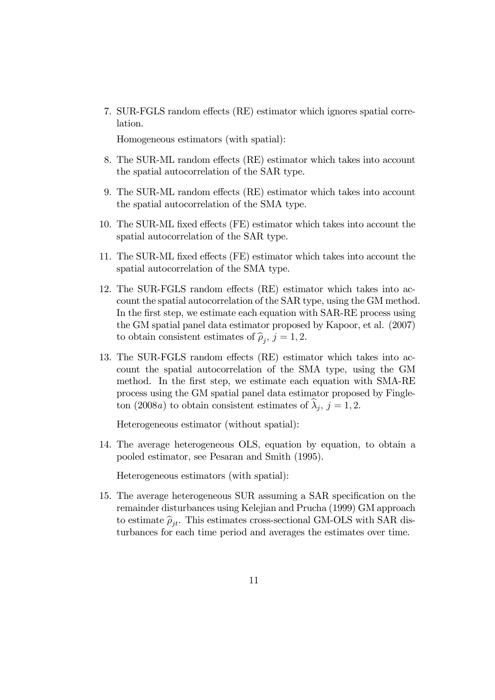7. SUR-FGLS random effects (RE) estimator which ignores spatial correlation.

Homogeneous estimators (with spatial):

- 8. The SUR-ML random effects (RE) estimator which takes into account the spatial autocorrelation of the SAR type.
- 9. The SUR-ML random effects (RE) estimator which takes into account the spatial autocorrelation of the SMA type.
- 10. The SUR-ML fixed effects (FE) estimator which takes into account the spatial autocorrelation of the SAR type.
- 11. The SUR-ML fixed effects (FE) estimator which takes into account the spatial autocorrelation of the SMA type.
- 12. The SUR-FGLS random effects (RE) estimator which takes into account the spatial autocorrelation of the SAR type, using the GM method. In the first step, we estimate each equation with SAR-RE process using the GM spatial panel data estimator proposed by Kapoor, et al. (2007) to obtain consistent estimates of  $\hat{\rho}_j$ ,  $j = 1, 2$ .
- 13. The SUR-FGLS random effects (RE) estimator which takes into account the spatial autocorrelation of the SMA type, using the GM method. In the first step, we estimate each equation with SMA-RE process using the GM spatial panel data estimator proposed by Fingleton (2008*a*) to obtain consistent estimates of  $\lambda_j$ ,  $j = 1, 2$ .

Heterogeneous estimator (without spatial):

14. The average heterogeneous OLS, equation by equation, to obtain a pooled estimator, see Pesaran and Smith (1995).

Heterogeneous estimators (with spatial):

15. The average heterogeneous SUR assuming a SAR specification on the remainder disturbances using Kelejian and Prucha (1999) GM approach to estimate  $\hat{\rho}_{it}$ . This estimates cross-sectional GM-OLS with SAR disturbances for each time period and averages the estimates over time.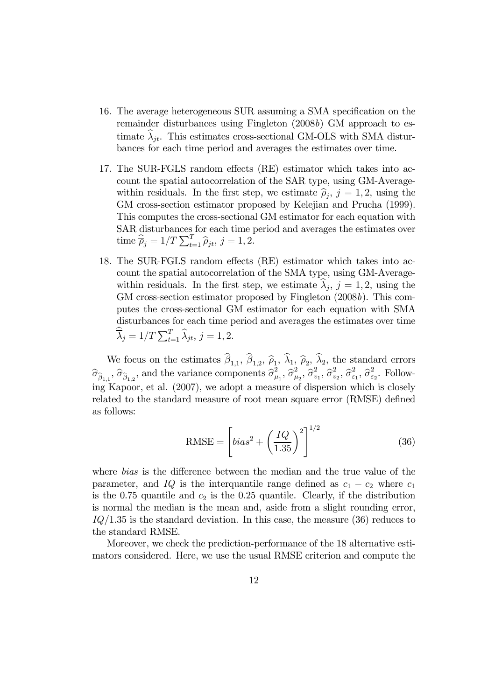- 16. The average heterogeneous SUR assuming a SMA specification on the remainder disturbances using Fingleton (2008b) GM approach to estimate  $\lambda_{jt}$ . This estimates cross-sectional GM-OLS with SMA disturbances for each time period and averages the estimates over time.
- 17. The SUR-FGLS random effects (RE) estimator which takes into account the spatial autocorrelation of the SAR type, using GM-Averagewithin residuals. In the first step, we estimate  $\hat{\rho}_j$ ,  $j = 1, 2$ , using the CM excess section estimates upon seed by Kalajian and Durcha (1000). GM cross-section estimator proposed by Kelejian and Prucha (1999). This computes the cross-sectional GM estimator for each equation with SAR disturbances for each time period and averages the estimates over time  $\widehat{\overline{\rho}}_j = 1/T \sum_{t=1}^T \widehat{\rho}_{jt}, j = 1, 2.$
- 18. The SUR-FGLS random effects (RE) estimator which takes into account the spatial autocorrelation of the SMA type, using GM-Averagewithin residuals. In the first step, we estimate  $\lambda_j$ ,  $j = 1, 2$ , using the GM cross-section estimator proposed by Fingleton  $(2008b)$ . This computes the cross-sectional GM estimator for each equation with SMA disturbances for each time period and averages the estimates over time  $\overline{\lambda}_j = 1/T \sum_{t=1}^T \widehat{\lambda}_{jt}, j = 1, 2.$

We focus on the estimates  $\beta_{1,1}$ ,  $\beta_{1,2}$ ,  $\widehat{\rho}_1$ ,  $\lambda_1$ ,  $\widehat{\rho}_2$ ,  $\lambda_2$ , the standard errors  $\widehat{\sigma}_{\widehat{\beta}_{1,1}}, \widehat{\sigma}_{\widehat{\beta}_{1,2}},$  and the variance components  $\widehat{\sigma}_{\mu}^2$  $\bar{\hat{\theta}}_{\mu_1}^2, \, \widehat{\sigma}_{\mu}^2$  $\overline{\hat{\sigma}^2_{v_2}}, \overline{\hat{\sigma}^2_{v_2}}$  $\hat{\sigma}_{v_1}^2$ ,  $\hat{\sigma}_{v}^2$  $\frac{2}{v_2}, \widehat{\sigma}_{\varepsilon}^2$  $\epsilon_1^2, \hat{\sigma}_\varepsilon^2$  $\frac{z}{\varepsilon_2}$ . Following Kapoor, et al. (2007), we adopt a measure of dispersion which is closely related to the standard measure of root mean square error (RMSE) defined as follows:

$$
\text{RMSE} = \left[ bias^2 + \left(\frac{IQ}{1.35}\right)^2 \right]^{1/2} \tag{36}
$$

where *bias* is the difference between the median and the true value of the parameter, and IQ is the interquantile range defined as  $c_1 - c_2$  where  $c_1$ is the 0.75 quantile and  $c_2$  is the 0.25 quantile. Clearly, if the distribution is normal the median is the mean and, aside from a slight rounding error,  $IQ/1.35$  is the standard deviation. In this case, the measure  $(36)$  reduces to the standard RMSE.

Moreover, we check the prediction-performance of the 18 alternative estimators considered. Here, we use the usual RMSE criterion and compute the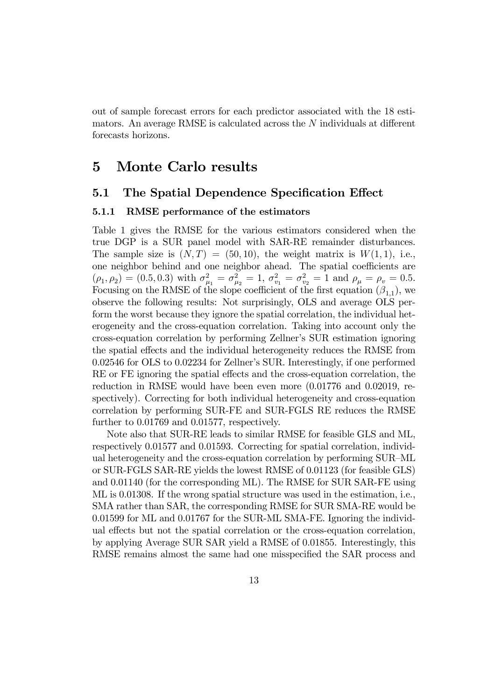out of sample forecast errors for each predictor associated with the 18 estimators. An average RMSE is calculated across the N individuals at different forecasts horizons.

# 5 Monte Carlo results

### 5.1 The Spatial Dependence Specification Effect

#### 5.1.1 RMSE performance of the estimators

Table 1 gives the RMSE for the various estimators considered when the true DGP is a SUR panel model with SAR-RE remainder disturbances. The sample size is  $(N, T) = (50, 10)$ , the weight matrix is  $W(1, 1)$ , i.e., one neighbor behind and one neighbor ahead. The spatial coefficients are  $(\rho_1, \rho_2) = (0.5, 0.3)$  with  $\sigma_u^2$  $_{\mu_1}^2=\sigma_{\mu}^2$  $\mu_{\mu_2}^2 = 1, \sigma_{v_1}^2 = \sigma_{v_2}^2 = 1$  and  $\rho_{\mu} = \rho_v = 0.5$ . Focusing on the RMSE of the slope coefficient of the first equation  $(\beta_{1,1})$ , we observe the following results: Not surprisingly, OLS and average OLS perform the worst because they ignore the spatial correlation, the individual heterogeneity and the cross-equation correlation. Taking into account only the cross-equation correlation by performing Zellner's SUR estimation ignoring the spatial effects and the individual heterogeneity reduces the RMSE from 0.02546 for OLS to 0.02234 for Zellner's SUR. Interestingly, if one performed RE or FE ignoring the spatial effects and the cross-equation correlation, the reduction in RMSE would have been even more (0.01776 and 0.02019, respectively). Correcting for both individual heterogeneity and cross-equation correlation by performing SUR-FE and SUR-FGLS RE reduces the RMSE further to 0.01769 and 0.01577, respectively.

Note also that SUR-RE leads to similar RMSE for feasible GLS and ML, respectively 0.01577 and 0.01593. Correcting for spatial correlation, individual heterogeneity and the cross-equation correlation by performing SUR—ML or SUR-FGLS SAR-RE yields the lowest RMSE of 0.01123 (for feasible GLS) and 0.01140 (for the corresponding ML). The RMSE for SUR SAR-FE using ML is 0.01308. If the wrong spatial structure was used in the estimation, i.e., SMA rather than SAR, the corresponding RMSE for SUR SMA-RE would be 0.01599 for ML and 0.01767 for the SUR-ML SMA-FE. Ignoring the individual effects but not the spatial correlation or the cross-equation correlation, by applying Average SUR SAR yield a RMSE of 0.01855. Interestingly, this RMSE remains almost the same had one misspecified the SAR process and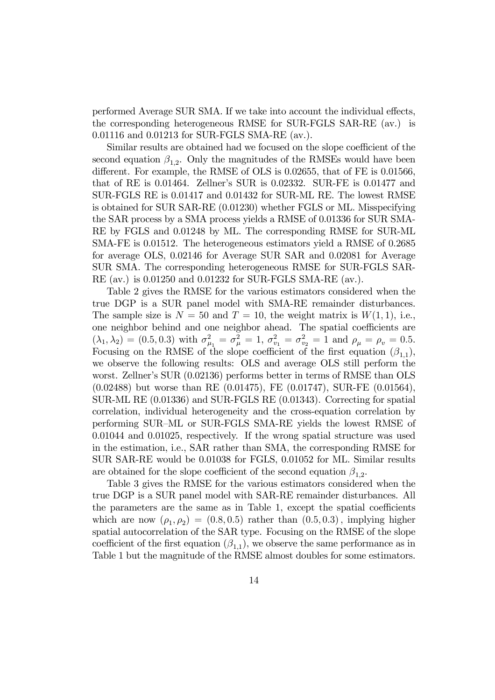performed Average SUR SMA. If we take into account the individual effects, the corresponding heterogeneous RMSE for SUR-FGLS SAR-RE (av.) is 0.01116 and 0.01213 for SUR-FGLS SMA-RE (av.).

Similar results are obtained had we focused on the slope coefficient of the second equation  $\beta_{1,2}$ . Only the magnitudes of the RMSEs would have been different. For example, the RMSE of OLS is 0.02655, that of FE is 0.01566, that of RE is 0.01464. Zellner's SUR is 0.02332. SUR-FE is 0.01477 and SUR-FGLS RE is 0.01417 and 0.01432 for SUR-ML RE. The lowest RMSE is obtained for SUR SAR-RE (0.01230) whether FGLS or ML. Misspecifying the SAR process by a SMA process yields a RMSE of 0.01336 for SUR SMA-RE by FGLS and 0.01248 by ML. The corresponding RMSE for SUR-ML SMA-FE is 0.01512. The heterogeneous estimators yield a RMSE of 0.2685 for average OLS, 0.02146 for Average SUR SAR and 0.02081 for Average SUR SMA. The corresponding heterogeneous RMSE for SUR-FGLS SAR-RE (av.) is 0.01250 and 0.01232 for SUR-FGLS SMA-RE (av.).

Table 2 gives the RMSE for the various estimators considered when the true DGP is a SUR panel model with SMA-RE remainder disturbances. The sample size is  $N = 50$  and  $T = 10$ , the weight matrix is  $W(1, 1)$ , i.e., one neighbor behind and one neighbor ahead. The spatial coefficients are  $(\lambda_1, \lambda_2) = (0.5, 0.3)$  with  $\sigma_\mu^2$  $\sigma_{\mu_1}^2 = \sigma_{\mu}^2 = 1, \ \sigma_{v_1}^2 = \sigma_{v_2}^2 = 1 \text{ and } \rho_{\mu} = \rho_{v} = 0.5.$ Focusing on the RMSE of the slope coefficient of the first equation  $(\beta_{1,1}),$ we observe the following results: OLS and average OLS still perform the worst. Zellner's SUR (0.02136) performs better in terms of RMSE than OLS (0.02488) but worse than RE (0.01475), FE (0.01747), SUR-FE (0.01564), SUR-ML RE (0.01336) and SUR-FGLS RE (0.01343). Correcting for spatial correlation, individual heterogeneity and the cross-equation correlation by performing SUR—ML or SUR-FGLS SMA-RE yields the lowest RMSE of 0.01044 and 0.01025, respectively. If the wrong spatial structure was used in the estimation, i.e., SAR rather than SMA, the corresponding RMSE for SUR SAR-RE would be 0.01038 for FGLS, 0.01052 for ML. Similar results are obtained for the slope coefficient of the second equation  $\beta_{1,2}$ .

Table 3 gives the RMSE for the various estimators considered when the true DGP is a SUR panel model with SAR-RE remainder disturbances. All the parameters are the same as in Table 1, except the spatial coefficients which are now  $(\rho_1, \rho_2) = (0.8, 0.5)$  rather than  $(0.5, 0.3)$ , implying higher spatial autocorrelation of the SAR type. Focusing on the RMSE of the slope coefficient of the first equation  $(\beta_{1,1})$ , we observe the same performance as in Table 1 but the magnitude of the RMSE almost doubles for some estimators.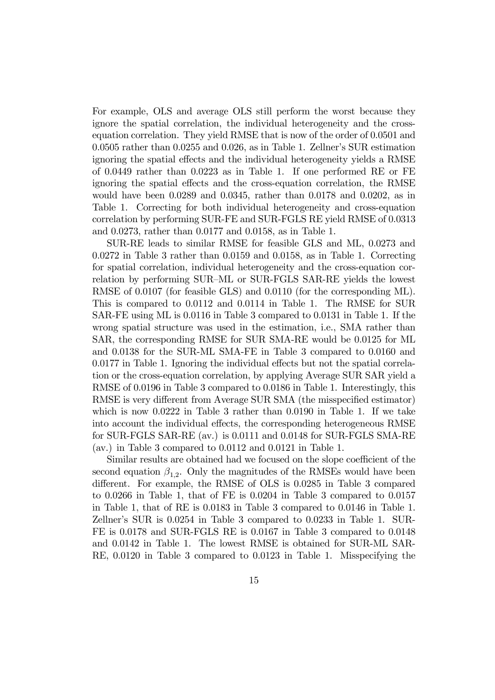For example, OLS and average OLS still perform the worst because they ignore the spatial correlation, the individual heterogeneity and the crossequation correlation. They yield RMSE that is now of the order of 0.0501 and 0.0505 rather than 0.0255 and 0.026, as in Table 1. Zellner's SUR estimation ignoring the spatial effects and the individual heterogeneity yields a RMSE of 0.0449 rather than 0.0223 as in Table 1. If one performed RE or FE ignoring the spatial effects and the cross-equation correlation, the RMSE would have been 0.0289 and 0.0345, rather than 0.0178 and 0.0202, as in Table 1. Correcting for both individual heterogeneity and cross-equation correlation by performing SUR-FE and SUR-FGLS RE yield RMSE of 0.0313 and 0.0273, rather than 0.0177 and 0.0158, as in Table 1.

SUR-RE leads to similar RMSE for feasible GLS and ML, 0.0273 and 0.0272 in Table 3 rather than 0.0159 and 0.0158, as in Table 1. Correcting for spatial correlation, individual heterogeneity and the cross-equation correlation by performing SUR—ML or SUR-FGLS SAR-RE yields the lowest RMSE of 0.0107 (for feasible GLS) and 0.0110 (for the corresponding ML). This is compared to 0.0112 and 0.0114 in Table 1. The RMSE for SUR SAR-FE using ML is 0.0116 in Table 3 compared to 0.0131 in Table 1. If the wrong spatial structure was used in the estimation, i.e., SMA rather than SAR, the corresponding RMSE for SUR SMA-RE would be 0.0125 for ML and 0.0138 for the SUR-ML SMA-FE in Table 3 compared to 0.0160 and 0.0177 in Table 1. Ignoring the individual effects but not the spatial correlation or the cross-equation correlation, by applying Average SUR SAR yield a RMSE of 0.0196 in Table 3 compared to 0.0186 in Table 1. Interestingly, this RMSE is very different from Average SUR SMA (the misspecified estimator) which is now 0.0222 in Table 3 rather than 0.0190 in Table 1. If we take into account the individual effects, the corresponding heterogeneous RMSE for SUR-FGLS SAR-RE (av.) is 0.0111 and 0.0148 for SUR-FGLS SMA-RE (av.) in Table 3 compared to 0.0112 and 0.0121 in Table 1.

Similar results are obtained had we focused on the slope coefficient of the second equation  $\beta_{1,2}$ . Only the magnitudes of the RMSEs would have been different. For example, the RMSE of OLS is 0.0285 in Table 3 compared to 0.0266 in Table 1, that of FE is 0.0204 in Table 3 compared to 0.0157 in Table 1, that of RE is 0.0183 in Table 3 compared to 0.0146 in Table 1. Zellner's SUR is 0.0254 in Table 3 compared to 0.0233 in Table 1. SUR-FE is 0.0178 and SUR-FGLS RE is 0.0167 in Table 3 compared to 0.0148 and 0.0142 in Table 1. The lowest RMSE is obtained for SUR-ML SAR-RE, 0.0120 in Table 3 compared to 0.0123 in Table 1. Misspecifying the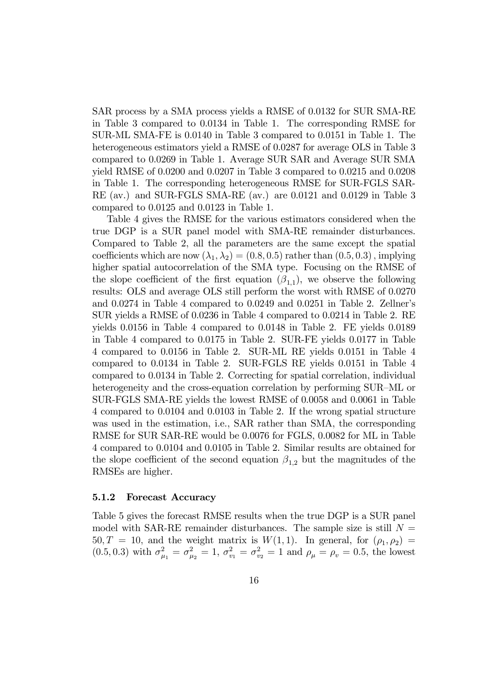SAR process by a SMA process yields a RMSE of 0.0132 for SUR SMA-RE in Table 3 compared to 0.0134 in Table 1. The corresponding RMSE for SUR-ML SMA-FE is 0.0140 in Table 3 compared to 0.0151 in Table 1. The heterogeneous estimators yield a RMSE of 0.0287 for average OLS in Table 3 compared to 0.0269 in Table 1. Average SUR SAR and Average SUR SMA yield RMSE of 0.0200 and 0.0207 in Table 3 compared to 0.0215 and 0.0208 in Table 1. The corresponding heterogeneous RMSE for SUR-FGLS SAR-RE (av.) and SUR-FGLS SMA-RE (av.) are 0.0121 and 0.0129 in Table 3 compared to 0.0125 and 0.0123 in Table 1.

Table 4 gives the RMSE for the various estimators considered when the true DGP is a SUR panel model with SMA-RE remainder disturbances. Compared to Table 2, all the parameters are the same except the spatial coefficients which are now  $(\lambda_1, \lambda_2) = (0.8, 0.5)$  rather than  $(0.5, 0.3)$ , implying higher spatial autocorrelation of the SMA type. Focusing on the RMSE of the slope coefficient of the first equation  $(\beta_{1,1})$ , we observe the following results: OLS and average OLS still perform the worst with RMSE of 0.0270 and 0.0274 in Table 4 compared to 0.0249 and 0.0251 in Table 2. Zellner's SUR yields a RMSE of 0.0236 in Table 4 compared to 0.0214 in Table 2. RE yields 0.0156 in Table 4 compared to 0.0148 in Table 2. FE yields 0.0189 in Table 4 compared to 0.0175 in Table 2. SUR-FE yields 0.0177 in Table 4 compared to 0.0156 in Table 2. SUR-ML RE yields 0.0151 in Table 4 compared to 0.0134 in Table 2. SUR-FGLS RE yields 0.0151 in Table 4 compared to 0.0134 in Table 2. Correcting for spatial correlation, individual heterogeneity and the cross-equation correlation by performing SUR—ML or SUR-FGLS SMA-RE yields the lowest RMSE of 0.0058 and 0.0061 in Table 4 compared to 0.0104 and 0.0103 in Table 2. If the wrong spatial structure was used in the estimation, i.e., SAR rather than SMA, the corresponding RMSE for SUR SAR-RE would be 0.0076 for FGLS, 0.0082 for ML in Table 4 compared to 0.0104 and 0.0105 in Table 2. Similar results are obtained for the slope coefficient of the second equation  $\beta_{1,2}$  but the magnitudes of the RMSEs are higher.

#### 5.1.2 Forecast Accuracy

Table 5 gives the forecast RMSE results when the true DGP is a SUR panel model with SAR-RE remainder disturbances. The sample size is still  $N =$  $50, T = 10$ , and the weight matrix is  $W(1, 1)$ . In general, for  $(\rho_1, \rho_2)$  $(0.5, 0.3)$  with  $\sigma_\mu^2$  $\frac{2}{\mu_1} = \sigma_{\mu}^2$  $\mu_{\mu_2}^2 = 1$ ,  $\sigma_{v_1}^2 = \sigma_{v_2}^2 = 1$  and  $\rho_{\mu} = \rho_v = 0.5$ , the lowest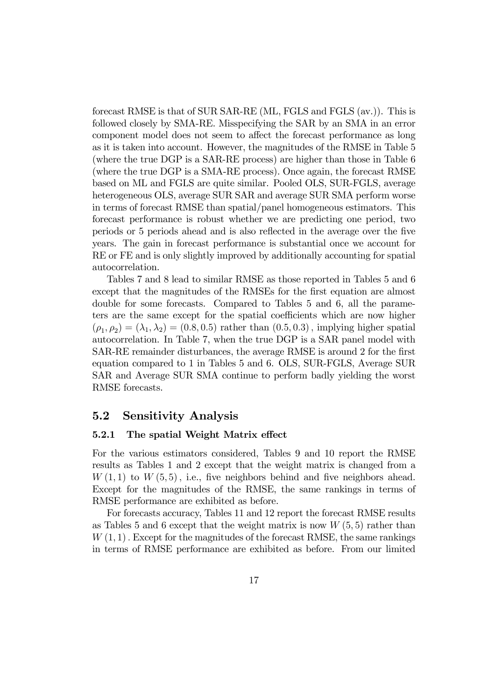forecast RMSE is that of SUR SAR-RE (ML, FGLS and FGLS (av.)). This is followed closely by SMA-RE. Misspecifying the SAR by an SMA in an error component model does not seem to affect the forecast performance as long as it is taken into account. However, the magnitudes of the RMSE in Table 5 (where the true DGP is a SAR-RE process) are higher than those in Table 6 (where the true DGP is a SMA-RE process). Once again, the forecast RMSE based on ML and FGLS are quite similar. Pooled OLS, SUR-FGLS, average heterogeneous OLS, average SUR SAR and average SUR SMA perform worse in terms of forecast RMSE than spatial/panel homogeneous estimators. This forecast performance is robust whether we are predicting one period, two periods or 5 periods ahead and is also reflected in the average over the five years. The gain in forecast performance is substantial once we account for RE or FE and is only slightly improved by additionally accounting for spatial autocorrelation.

Tables 7 and 8 lead to similar RMSE as those reported in Tables 5 and 6 except that the magnitudes of the RMSEs for the first equation are almost double for some forecasts. Compared to Tables 5 and 6, all the parameters are the same except for the spatial coefficients which are now higher  $(\rho_1, \rho_2) = (\lambda_1, \lambda_2) = (0.8, 0.5)$  rather than  $(0.5, 0.3)$ , implying higher spatial autocorrelation. In Table 7, when the true DGP is a SAR panel model with SAR-RE remainder disturbances, the average RMSE is around 2 for the first equation compared to 1 in Tables 5 and 6. OLS, SUR-FGLS, Average SUR SAR and Average SUR SMA continue to perform badly yielding the worst RMSE forecasts.

### 5.2 Sensitivity Analysis

#### 5.2.1 The spatial Weight Matrix effect

For the various estimators considered, Tables 9 and 10 report the RMSE results as Tables 1 and 2 except that the weight matrix is changed from a  $W(1, 1)$  to  $W(5, 5)$ , i.e., five neighbors behind and five neighbors ahead. Except for the magnitudes of the RMSE, the same rankings in terms of RMSE performance are exhibited as before.

For forecasts accuracy, Tables 11 and 12 report the forecast RMSE results as Tables 5 and 6 except that the weight matrix is now  $W(5, 5)$  rather than  $W(1, 1)$ . Except for the magnitudes of the forecast RMSE, the same rankings in terms of RMSE performance are exhibited as before. From our limited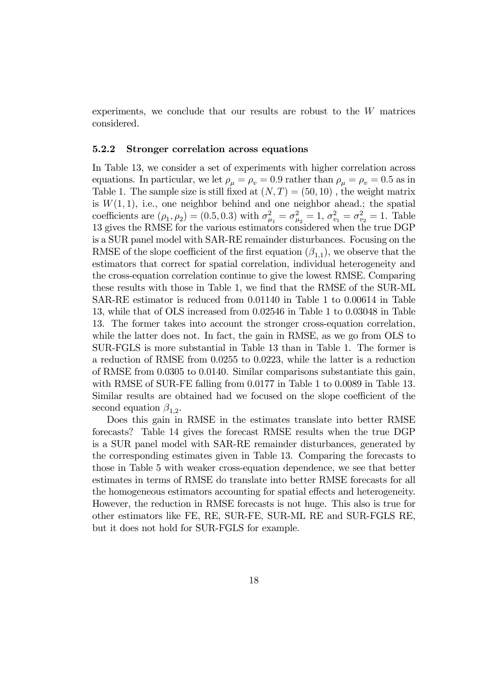experiments, we conclude that our results are robust to the  $W$  matrices considered.

#### 5.2.2 Stronger correlation across equations

In Table 13, we consider a set of experiments with higher correlation across equations. In particular, we let  $\rho_{\mu} = \rho_{\nu} = 0.9$  rather than  $\rho_{\mu} = \rho_{\nu} = 0.5$  as in Table 1. The sample size is still fixed at  $(N, T) = (50, 10)$ , the weight matrix is  $W(1, 1)$ , i.e., one neighbor behind and one neighbor ahead.; the spatial coefficients are  $(\rho_1, \rho_2) = (0.5, 0.3)$  with  $\sigma_u^2$  $\frac{2}{\mu_1} = \sigma_{\mu}^2$  $\sigma_{\nu_1}^2 = 1, \sigma_{\nu_1}^2 = \sigma_{\nu_2}^2 = 1.$  Table 13 gives the RMSE for the various estimators considered when the true DGP is a SUR panel model with SAR-RE remainder disturbances. Focusing on the RMSE of the slope coefficient of the first equation  $(\beta_{1,1})$ , we observe that the estimators that correct for spatial correlation, individual heterogeneity and the cross-equation correlation continue to give the lowest RMSE. Comparing these results with those in Table 1, we find that the RMSE of the SUR-ML SAR-RE estimator is reduced from 0.01140 in Table 1 to 0.00614 in Table 13, while that of OLS increased from 0.02546 in Table 1 to 0.03048 in Table 13. The former takes into account the stronger cross-equation correlation, while the latter does not. In fact, the gain in RMSE, as we go from OLS to SUR-FGLS is more substantial in Table 13 than in Table 1. The former is a reduction of RMSE from 0.0255 to 0.0223, while the latter is a reduction of RMSE from 0.0305 to 0.0140. Similar comparisons substantiate this gain, with RMSE of SUR-FE falling from 0.0177 in Table 1 to 0.0089 in Table 13. Similar results are obtained had we focused on the slope coefficient of the second equation  $\beta_{1,2}$ .

Does this gain in RMSE in the estimates translate into better RMSE forecasts? Table 14 gives the forecast RMSE results when the true DGP is a SUR panel model with SAR-RE remainder disturbances, generated by the corresponding estimates given in Table 13. Comparing the forecasts to those in Table 5 with weaker cross-equation dependence, we see that better estimates in terms of RMSE do translate into better RMSE forecasts for all the homogeneous estimators accounting for spatial effects and heterogeneity. However, the reduction in RMSE forecasts is not huge. This also is true for other estimators like FE, RE, SUR-FE, SUR-ML RE and SUR-FGLS RE, but it does not hold for SUR-FGLS for example.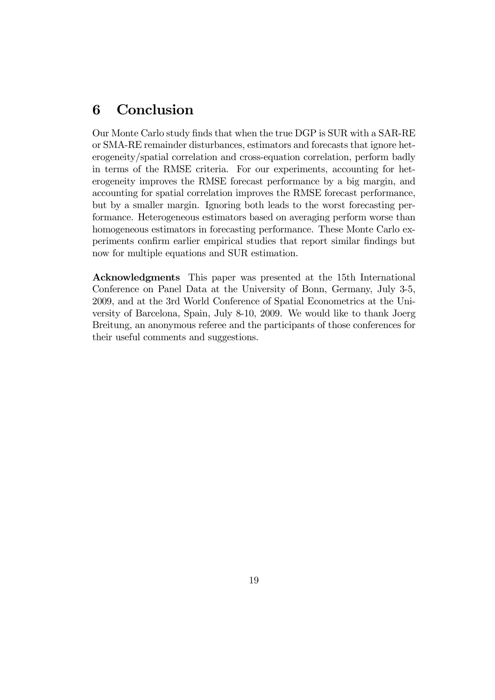# 6 Conclusion

Our Monte Carlo study finds that when the true DGP is SUR with a SAR-RE or SMA-RE remainder disturbances, estimators and forecasts that ignore heterogeneity/spatial correlation and cross-equation correlation, perform badly in terms of the RMSE criteria. For our experiments, accounting for heterogeneity improves the RMSE forecast performance by a big margin, and accounting for spatial correlation improves the RMSE forecast performance, but by a smaller margin. Ignoring both leads to the worst forecasting performance. Heterogeneous estimators based on averaging perform worse than homogeneous estimators in forecasting performance. These Monte Carlo experiments confirm earlier empirical studies that report similar findings but now for multiple equations and SUR estimation.

Acknowledgments This paper was presented at the 15th International Conference on Panel Data at the University of Bonn, Germany, July 3-5, 2009, and at the 3rd World Conference of Spatial Econometrics at the University of Barcelona, Spain, July 8-10, 2009. We would like to thank Joerg Breitung, an anonymous referee and the participants of those conferences for their useful comments and suggestions.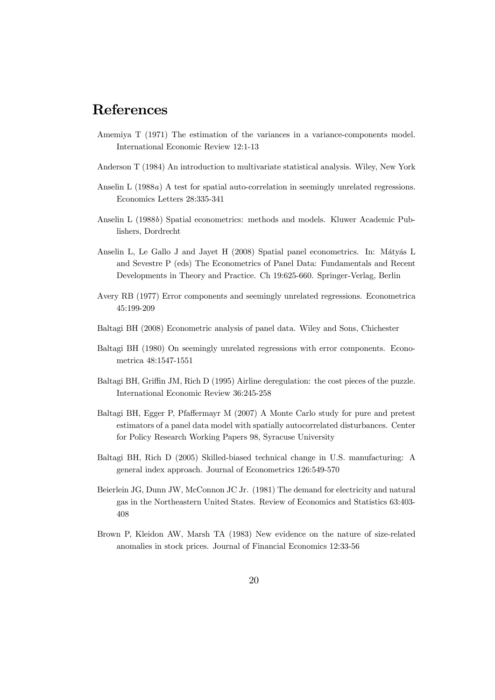# References

- Amemiya T (1971) The estimation of the variances in a variance-components model. International Economic Review 12:1-13
- Anderson T (1984) An introduction to multivariate statistical analysis. Wiley, New York
- Anselin L (1988a) A test for spatial auto-correlation in seemingly unrelated regressions. Economics Letters 28:335-341
- Anselin L (1988b) Spatial econometrics: methods and models. Kluwer Academic Publishers, Dordrecht
- Anselin L, Le Gallo J and Jayet H (2008) Spatial panel econometrics. In: Mátyás L and Sevestre P (eds) The Econometrics of Panel Data: Fundamentals and Recent Developments in Theory and Practice. Ch 19:625-660. Springer-Verlag, Berlin
- Avery RB (1977) Error components and seemingly unrelated regressions. Econometrica 45:199-209
- Baltagi BH (2008) Econometric analysis of panel data. Wiley and Sons, Chichester
- Baltagi BH (1980) On seemingly unrelated regressions with error components. Econometrica 48:1547-1551
- Baltagi BH, Griffin JM, Rich D (1995) Airline deregulation: the cost pieces of the puzzle. International Economic Review 36:245-258
- Baltagi BH, Egger P, Pfaffermayr M (2007) A Monte Carlo study for pure and pretest estimators of a panel data model with spatially autocorrelated disturbances. Center for Policy Research Working Papers 98, Syracuse University
- Baltagi BH, Rich D (2005) Skilled-biased technical change in U.S. manufacturing: A general index approach. Journal of Econometrics 126:549-570
- Beierlein JG, Dunn JW, McConnon JC Jr. (1981) The demand for electricity and natural gas in the Northeastern United States. Review of Economics and Statistics 63:403- 408
- Brown P, Kleidon AW, Marsh TA (1983) New evidence on the nature of size-related anomalies in stock prices. Journal of Financial Economics 12:33-56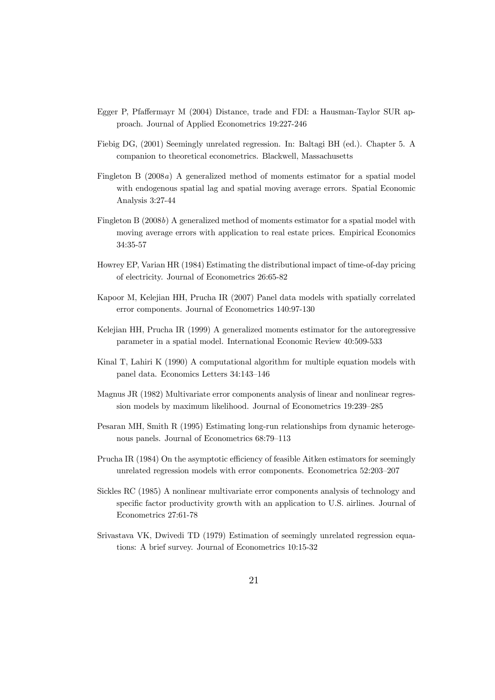- Egger P, Pfaffermayr M (2004) Distance, trade and FDI: a Hausman-Taylor SUR approach. Journal of Applied Econometrics 19:227-246
- Fiebig DG, (2001) Seemingly unrelated regression. In: Baltagi BH (ed.). Chapter 5. A companion to theoretical econometrics. Blackwell, Massachusetts
- Fingleton B (2008a) A generalized method of moments estimator for a spatial model with endogenous spatial lag and spatial moving average errors. Spatial Economic Analysis 3:27-44
- Fingleton B (2008b) A generalized method of moments estimator for a spatial model with moving average errors with application to real estate prices. Empirical Economics 34:35-57
- Howrey EP, Varian HR (1984) Estimating the distributional impact of time-of-day pricing of electricity. Journal of Econometrics 26:65-82
- Kapoor M, Kelejian HH, Prucha IR (2007) Panel data models with spatially correlated error components. Journal of Econometrics 140:97-130
- Kelejian HH, Prucha IR (1999) A generalized moments estimator for the autoregressive parameter in a spatial model. International Economic Review 40:509-533
- Kinal T, Lahiri K (1990) A computational algorithm for multiple equation models with panel data. Economics Letters 34:143—146
- Magnus JR (1982) Multivariate error components analysis of linear and nonlinear regression models by maximum likelihood. Journal of Econometrics 19:239—285
- Pesaran MH, Smith R (1995) Estimating long-run relationships from dynamic heterogenous panels. Journal of Econometrics 68:79—113
- Prucha IR (1984) On the asymptotic efficiency of feasible Aitken estimators for seemingly unrelated regression models with error components. Econometrica 52:203—207
- Sickles RC (1985) A nonlinear multivariate error components analysis of technology and specific factor productivity growth with an application to U.S. airlines. Journal of Econometrics 27:61-78
- Srivastava VK, Dwivedi TD (1979) Estimation of seemingly unrelated regression equations: A brief survey. Journal of Econometrics 10:15-32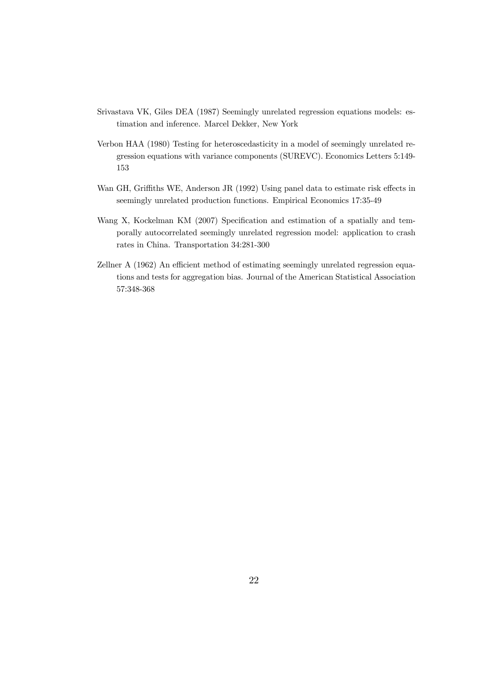- Srivastava VK, Giles DEA (1987) Seemingly unrelated regression equations models: estimation and inference. Marcel Dekker, New York
- Verbon HAA (1980) Testing for heteroscedasticity in a model of seemingly unrelated regression equations with variance components (SUREVC). Economics Letters 5:149- 153
- Wan GH, Griffiths WE, Anderson JR (1992) Using panel data to estimate risk effects in seemingly unrelated production functions. Empirical Economics 17:35-49
- Wang X, Kockelman KM (2007) Specification and estimation of a spatially and temporally autocorrelated seemingly unrelated regression model: application to crash rates in China. Transportation 34:281-300
- Zellner A (1962) An efficient method of estimating seemingly unrelated regression equations and tests for aggregation bias. Journal of the American Statistical Association 57:348-368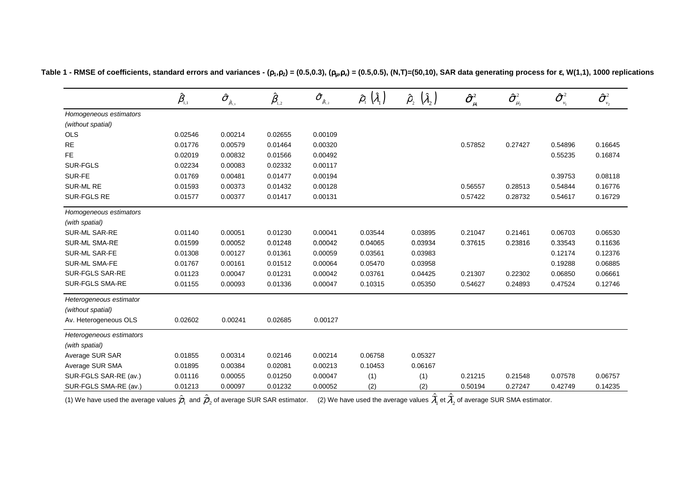|                          | $\hat{\beta}_{\scriptscriptstyle\!\scriptscriptstyle 1,1}$ | $\boldsymbol{\hat{\sigma}}_{_{\beta_{\text{i},1}}}$ | $\hat{\pmb \beta}_{\scriptscriptstyle 1,2}$ | $\pmb{\hat{\sigma}}_{_{\hat{\beta}_{\!,2}}}$ | $(\hat{\lambda}_1)$<br>$\hat{\rho}_{\shortparallel}$ | $(\hat{\lambda}_2)$<br>$\hat{\rho}_{\scriptscriptstyle 2}^{}$ | $\boldsymbol{\hat{\sigma}}^{\scriptscriptstyle 2}_{\scriptscriptstyle \mu_{\scriptscriptstyle 1}}$ | $\hat{\boldsymbol{\sigma}}^{_2}$<br>$\mu_{2}$ | $\boldsymbol{\hat{\sigma}}^{_2}$<br>$v_1$ | $\hat{\sigma}^{\scriptscriptstyle 2}_{\scriptscriptstyle \cdots}$<br>$\nu_2$ |
|--------------------------|------------------------------------------------------------|-----------------------------------------------------|---------------------------------------------|----------------------------------------------|------------------------------------------------------|---------------------------------------------------------------|----------------------------------------------------------------------------------------------------|-----------------------------------------------|-------------------------------------------|------------------------------------------------------------------------------|
| Homogeneous estimators   |                                                            |                                                     |                                             |                                              |                                                      |                                                               |                                                                                                    |                                               |                                           |                                                                              |
| (without spatial)        |                                                            |                                                     |                                             |                                              |                                                      |                                                               |                                                                                                    |                                               |                                           |                                                                              |
| <b>OLS</b>               | 0.02546                                                    | 0.00214                                             | 0.02655                                     | 0.00109                                      |                                                      |                                                               |                                                                                                    |                                               |                                           |                                                                              |
| <b>RE</b>                | 0.01776                                                    | 0.00579                                             | 0.01464                                     | 0.00320                                      | —                                                    | —                                                             | 0.57852                                                                                            | 0.27427                                       | 0.54896                                   | 0.16645                                                                      |
| FE                       | 0.02019                                                    | 0.00832                                             | 0.01566                                     | 0.00492                                      |                                                      |                                                               |                                                                                                    |                                               | 0.55235                                   | 0.16874                                                                      |
| <b>SUR-FGLS</b>          | 0.02234                                                    | 0.00083                                             | 0.02332                                     | 0.00117                                      |                                                      |                                                               |                                                                                                    |                                               |                                           |                                                                              |
| SUR-FE                   | 0.01769                                                    | 0.00481                                             | 0.01477                                     | 0.00194                                      |                                                      |                                                               |                                                                                                    |                                               | 0.39753                                   | 0.08118                                                                      |
| SUR-ML RE                | 0.01593                                                    | 0.00373                                             | 0.01432                                     | 0.00128                                      |                                                      |                                                               | 0.56557                                                                                            | 0.28513                                       | 0.54844                                   | 0.16776                                                                      |
| SUR-FGLS RE              | 0.01577                                                    | 0.00377                                             | 0.01417                                     | 0.00131                                      |                                                      |                                                               | 0.57422                                                                                            | 0.28732                                       | 0.54617                                   | 0.16729                                                                      |
| Homogeneous estimators   |                                                            |                                                     |                                             |                                              |                                                      |                                                               |                                                                                                    |                                               |                                           |                                                                              |
| (with spatial)           |                                                            |                                                     |                                             |                                              |                                                      |                                                               |                                                                                                    |                                               |                                           |                                                                              |
| SUR-ML SAR-RE            | 0.01140                                                    | 0.00051                                             | 0.01230                                     | 0.00041                                      | 0.03544                                              | 0.03895                                                       | 0.21047                                                                                            | 0.21461                                       | 0.06703                                   | 0.06530                                                                      |
| <b>SUR-ML SMA-RE</b>     | 0.01599                                                    | 0.00052                                             | 0.01248                                     | 0.00042                                      | 0.04065                                              | 0.03934                                                       | 0.37615                                                                                            | 0.23816                                       | 0.33543                                   | 0.11636                                                                      |
| SUR-ML SAR-FE            | 0.01308                                                    | 0.00127                                             | 0.01361                                     | 0.00059                                      | 0.03561                                              | 0.03983                                                       |                                                                                                    |                                               | 0.12174                                   | 0.12376                                                                      |
| <b>SUR-ML SMA-FE</b>     | 0.01767                                                    | 0.00161                                             | 0.01512                                     | 0.00064                                      | 0.05470                                              | 0.03958                                                       |                                                                                                    |                                               | 0.19288                                   | 0.06885                                                                      |
| SUR-FGLS SAR-RE          | 0.01123                                                    | 0.00047                                             | 0.01231                                     | 0.00042                                      | 0.03761                                              | 0.04425                                                       | 0.21307                                                                                            | 0.22302                                       | 0.06850                                   | 0.06661                                                                      |
| SUR-FGLS SMA-RE          | 0.01155                                                    | 0.00093                                             | 0.01336                                     | 0.00047                                      | 0.10315                                              | 0.05350                                                       | 0.54627                                                                                            | 0.24893                                       | 0.47524                                   | 0.12746                                                                      |
| Heterogeneous estimator  |                                                            |                                                     |                                             |                                              |                                                      |                                                               |                                                                                                    |                                               |                                           |                                                                              |
| (without spatial)        |                                                            |                                                     |                                             |                                              |                                                      |                                                               |                                                                                                    |                                               |                                           |                                                                              |
| Av. Heterogeneous OLS    | 0.02602                                                    | 0.00241                                             | 0.02685                                     | 0.00127                                      |                                                      |                                                               |                                                                                                    |                                               |                                           |                                                                              |
| Heterogeneous estimators |                                                            |                                                     |                                             |                                              |                                                      |                                                               |                                                                                                    |                                               |                                           |                                                                              |
| (with spatial)           |                                                            |                                                     |                                             |                                              |                                                      |                                                               |                                                                                                    |                                               |                                           |                                                                              |
| Average SUR SAR          | 0.01855                                                    | 0.00314                                             | 0.02146                                     | 0.00214                                      | 0.06758                                              | 0.05327                                                       |                                                                                                    |                                               |                                           |                                                                              |
| Average SUR SMA          | 0.01895                                                    | 0.00384                                             | 0.02081                                     | 0.00213                                      | 0.10453                                              | 0.06167                                                       |                                                                                                    |                                               |                                           |                                                                              |
| SUR-FGLS SAR-RE (av.)    | 0.01116                                                    | 0.00055                                             | 0.01250                                     | 0.00047                                      | (1)                                                  | (1)                                                           | 0.21215                                                                                            | 0.21548                                       | 0.07578                                   | 0.06757                                                                      |
| SUR-FGLS SMA-RE (av.)    | 0.01213                                                    | 0.00097                                             | 0.01232                                     | 0.00052                                      | (2)                                                  | (2)                                                           | 0.50194                                                                                            | 0.27247                                       | 0.42749                                   | 0.14235                                                                      |

Table 1 - RMSE of coefficients, standard errors and variances - ( $\rho_1,\rho_2$ ) = (0.5,0.3), ( $\rho_\mu,\rho_v$ ) = (0.5,0.5), (N,T)=(50,10), SAR data generating process for  $\bm{\epsilon}$ , W(1,1), 1000 replications

(1) We have used the average values  $\hat{\overline{\rho}}_1$  and  $\hat{\overline{\rho}}_2$  of average SUR SAR estimator.  $\quad$  (2) We have used the average values  $\overline{\lambda}_1$  et  $\overline{\lambda}_2$  of average SUR SMA estimator.  $\hat{\bar{\sigma}}_1$  and  $\hat{\bar{\rho}}_2$  $\mathcal{L}_2$  is a complete that the commutation  $\mathcal{L}_1$  and the contract of the complete  $\mathcal{L}_1$ ˆ $\lambda_{1}$  et  $\lambda_{2}$ ˆλ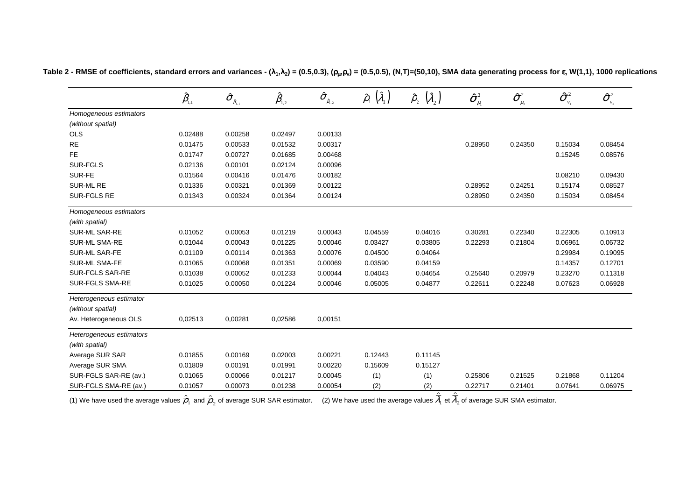|                                            | $\hat{\beta}_{\scriptscriptstyle\!\scriptscriptstyle 1,1}$ | $\hat{\sigma}_{_{\hat{\beta}_{\text{I},\text{i}}}}$ | $\hat{\pmb \beta}_{\scriptscriptstyle 1,2}$ | $\pmb{\widehat{\sigma}}_{_{\hat{\beta}_{\mathsf{I},2}}}$ | $(\hat{\lambda}_1)$<br>$\hat{\rho}_{_{1}}$ | $\left(\hat{\lambda}_{_2}\right)$<br>$\hat{\rho}_{\scriptscriptstyle 2}^{}$ | $\hat{\sigma}_{_{\mu_{\text{\tiny{l}}}}}^{\text{\tiny{2}}}$ | $\boldsymbol{\hat{\sigma}}^{\scriptscriptstyle 2}_{\scriptscriptstyle \mu_2}$ | $\boldsymbol{\hat{\sigma}}^{\text{\tiny 2}}$<br>$v_1$ | $\pmb{\hat{\sigma}}_{\nu_2}^2$ |
|--------------------------------------------|------------------------------------------------------------|-----------------------------------------------------|---------------------------------------------|----------------------------------------------------------|--------------------------------------------|-----------------------------------------------------------------------------|-------------------------------------------------------------|-------------------------------------------------------------------------------|-------------------------------------------------------|--------------------------------|
| Homogeneous estimators                     |                                                            |                                                     |                                             |                                                          |                                            |                                                                             |                                                             |                                                                               |                                                       |                                |
| (without spatial)                          |                                                            |                                                     |                                             |                                                          |                                            |                                                                             |                                                             |                                                                               |                                                       |                                |
| <b>OLS</b>                                 | 0.02488                                                    | 0.00258                                             | 0.02497                                     | 0.00133                                                  |                                            |                                                                             |                                                             |                                                                               |                                                       |                                |
| <b>RE</b>                                  | 0.01475                                                    | 0.00533                                             | 0.01532                                     | 0.00317                                                  | $\overline{\phantom{0}}$                   | —                                                                           | 0.28950                                                     | 0.24350                                                                       | 0.15034                                               | 0.08454                        |
| <b>FE</b>                                  | 0.01747                                                    | 0.00727                                             | 0.01685                                     | 0.00468                                                  |                                            |                                                                             |                                                             |                                                                               | 0.15245                                               | 0.08576                        |
| <b>SUR-FGLS</b>                            | 0.02136                                                    | 0.00101                                             | 0.02124                                     | 0.00096                                                  | $\overline{\phantom{0}}$                   |                                                                             |                                                             |                                                                               |                                                       |                                |
| SUR-FE                                     | 0.01564                                                    | 0.00416                                             | 0.01476                                     | 0.00182                                                  | $\overline{\phantom{0}}$                   |                                                                             |                                                             |                                                                               | 0.08210                                               | 0.09430                        |
| <b>SUR-ML RE</b>                           | 0.01336                                                    | 0.00321                                             | 0.01369                                     | 0.00122                                                  |                                            |                                                                             | 0.28952                                                     | 0.24251                                                                       | 0.15174                                               | 0.08527                        |
| SUR-FGLS RE                                | 0.01343                                                    | 0.00324                                             | 0.01364                                     | 0.00124                                                  |                                            |                                                                             | 0.28950                                                     | 0.24350                                                                       | 0.15034                                               | 0.08454                        |
| Homogeneous estimators<br>(with spatial)   |                                                            |                                                     |                                             |                                                          |                                            |                                                                             |                                                             |                                                                               |                                                       |                                |
| SUR-ML SAR-RE                              | 0.01052                                                    | 0.00053                                             | 0.01219                                     | 0.00043                                                  | 0.04559                                    | 0.04016                                                                     | 0.30281                                                     | 0.22340                                                                       | 0.22305                                               | 0.10913                        |
| SUR-ML SMA-RE                              | 0.01044                                                    | 0.00043                                             | 0.01225                                     | 0.00046                                                  | 0.03427                                    | 0.03805                                                                     | 0.22293                                                     | 0.21804                                                                       | 0.06961                                               | 0.06732                        |
| SUR-ML SAR-FE                              | 0.01109                                                    | 0.00114                                             | 0.01363                                     | 0.00076                                                  | 0.04500                                    | 0.04064                                                                     |                                                             |                                                                               | 0.29984                                               | 0.19095                        |
| <b>SUR-ML SMA-FE</b>                       | 0.01065                                                    | 0.00068                                             | 0.01351                                     | 0.00069                                                  | 0.03590                                    | 0.04159                                                                     | $\overline{\phantom{0}}$                                    | $\overline{\phantom{0}}$                                                      | 0.14357                                               | 0.12701                        |
| SUR-FGLS SAR-RE                            | 0.01038                                                    | 0.00052                                             | 0.01233                                     | 0.00044                                                  | 0.04043                                    | 0.04654                                                                     | 0.25640                                                     | 0.20979                                                                       | 0.23270                                               | 0.11318                        |
| SUR-FGLS SMA-RE                            | 0.01025                                                    | 0.00050                                             | 0.01224                                     | 0.00046                                                  | 0.05005                                    | 0.04877                                                                     | 0.22611                                                     | 0.22248                                                                       | 0.07623                                               | 0.06928                        |
| Heterogeneous estimator                    |                                                            |                                                     |                                             |                                                          |                                            |                                                                             |                                                             |                                                                               |                                                       |                                |
| (without spatial)<br>Av. Heterogeneous OLS | 0,02513                                                    | 0,00281                                             | 0,02586                                     | 0,00151                                                  |                                            |                                                                             |                                                             |                                                                               |                                                       |                                |
| Heterogeneous estimators                   |                                                            |                                                     |                                             |                                                          |                                            |                                                                             |                                                             |                                                                               |                                                       |                                |
| (with spatial)                             |                                                            |                                                     |                                             |                                                          |                                            |                                                                             |                                                             |                                                                               |                                                       |                                |
| Average SUR SAR                            | 0.01855                                                    | 0.00169                                             | 0.02003                                     | 0.00221                                                  | 0.12443                                    | 0.11145                                                                     |                                                             |                                                                               |                                                       |                                |
| Average SUR SMA                            | 0.01809                                                    | 0.00191                                             | 0.01991                                     | 0.00220                                                  | 0.15609                                    | 0.15127                                                                     |                                                             |                                                                               |                                                       |                                |
| SUR-FGLS SAR-RE (av.)                      | 0.01065                                                    | 0.00066                                             | 0.01217                                     | 0.00045                                                  | (1)                                        | (1)                                                                         | 0.25806                                                     | 0.21525                                                                       | 0.21868                                               | 0.11204                        |
| SUR-FGLS SMA-RE (av.)                      | 0.01057                                                    | 0.00073                                             | 0.01238                                     | 0.00054                                                  | (2)                                        | (2)                                                                         | 0.22717                                                     | 0.21401                                                                       | 0.07641                                               | 0.06975                        |

ˆ

ˆ

Table 2 - RMSE of coefficients, standard errors and variances - ( $\lambda_1,\lambda_2$ ) = (0.5,0.3), ( $\rho_\mu,\rho_v$ ) = (0.5,0.5), (N,T)=(50,10), SMA data generating process for  $\bm{\epsilon}$ , W(1,1), 1000 replications

(1) We have used the average values  $\overline{\rho}_{\scriptscriptstyle 1}$  and  $\overline{\rho}_{\scriptscriptstyle 2}$  of average SUR SAR estimator.  $\quad$  (2) We have used the average values  $\lambda_{\scriptscriptstyle 1}$  et  $\lambda_{\scriptscriptstyle 2}$  of average SUR SMA estimator.  $\lambda_{\!\scriptscriptstyle 1}$  et  $\lambda_{\!\scriptscriptstyle 2}$  $\rho_{_1}$  and  $\rho_{_2}$  of average SUR SAR estimator. (2) We have used the average values  $\lambda_{_1}$  et  $\lambda$  $\hat{\overline\theta}_1$  and  $\hat{\overline{\rho}}_2$  of average SUR SAR estimator.  $\quad$  (2) We have used the average values  $\overline\lambda_1$  et  $\overline\lambda_2$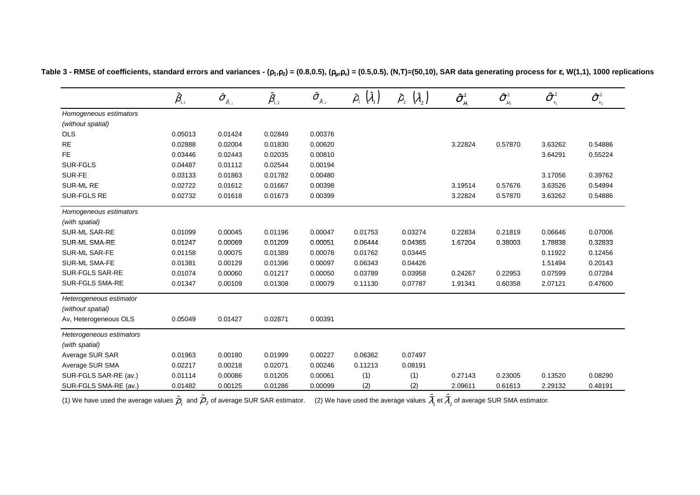|                          | $\hat{\pmb \beta}_{\scriptscriptstyle 1,1}$ | $\boldsymbol{\hat{\sigma}}_{_{\hat{\beta}_{1,1}}}$ | $\hat{\pmb \beta}_{\scriptscriptstyle 1,2}$ | $\hat{\sigma}_{_{\hat{\beta}_{\scriptscriptstyle1,2}}}$ | $(\hat{\lambda}_1)$<br>$\hat{\rho}_{_{1}}$ | $\left(\hat{\lambda}_{2}\right)$<br>$\hat{\rho}_{\scriptscriptstyle 2}^{}$ | $\hat{\sigma}_{_{\mu_{\text{\tiny{l}}}}}^{\text{\tiny{2}}}$ | $\boldsymbol{\hat{\sigma}}^{\scriptscriptstyle 2}_{\scriptscriptstyle \mu_2}$ | $\hat{\sigma}^{\scriptscriptstyle 2}$<br>$v_1$ | $\boldsymbol{\hat{\sigma}}_{\scriptscriptstyle \nu_{\scriptscriptstyle 2}}^{\scriptscriptstyle 2}$ |
|--------------------------|---------------------------------------------|----------------------------------------------------|---------------------------------------------|---------------------------------------------------------|--------------------------------------------|----------------------------------------------------------------------------|-------------------------------------------------------------|-------------------------------------------------------------------------------|------------------------------------------------|----------------------------------------------------------------------------------------------------|
| Homogeneous estimators   |                                             |                                                    |                                             |                                                         |                                            |                                                                            |                                                             |                                                                               |                                                |                                                                                                    |
| (without spatial)        |                                             |                                                    |                                             |                                                         |                                            |                                                                            |                                                             |                                                                               |                                                |                                                                                                    |
| <b>OLS</b>               | 0.05013                                     | 0.01424                                            | 0.02849                                     | 0.00376                                                 |                                            |                                                                            |                                                             |                                                                               |                                                |                                                                                                    |
| <b>RE</b>                | 0.02888                                     | 0.02004                                            | 0.01830                                     | 0.00620                                                 |                                            |                                                                            | 3.22824                                                     | 0.57870                                                                       | 3.63262                                        | 0.54886                                                                                            |
| FE.                      | 0.03446                                     | 0.02443                                            | 0.02035                                     | 0.00810                                                 |                                            |                                                                            |                                                             |                                                                               | 3.64291                                        | 0.55224                                                                                            |
| SUR-FGLS                 | 0.04487                                     | 0.01112                                            | 0.02544                                     | 0.00194                                                 |                                            |                                                                            |                                                             |                                                                               |                                                |                                                                                                    |
| SUR-FE                   | 0.03133                                     | 0.01863                                            | 0.01782                                     | 0.00480                                                 |                                            |                                                                            |                                                             |                                                                               | 3.17056                                        | 0.39762                                                                                            |
| SUR-ML RE                | 0.02722                                     | 0.01612                                            | 0.01667                                     | 0.00398                                                 |                                            | $\overline{\phantom{0}}$                                                   | 3.19514                                                     | 0.57676                                                                       | 3.63526                                        | 0.54994                                                                                            |
| SUR-FGLS RE              | 0.02732                                     | 0.01618                                            | 0.01673                                     | 0.00399                                                 |                                            |                                                                            | 3.22824                                                     | 0.57870                                                                       | 3.63262                                        | 0.54886                                                                                            |
| Homogeneous estimators   |                                             |                                                    |                                             |                                                         |                                            |                                                                            |                                                             |                                                                               |                                                |                                                                                                    |
| (with spatial)           |                                             |                                                    |                                             |                                                         |                                            |                                                                            |                                                             |                                                                               |                                                |                                                                                                    |
| SUR-ML SAR-RE            | 0.01099                                     | 0.00045                                            | 0.01196                                     | 0.00047                                                 | 0.01753                                    | 0.03274                                                                    | 0.22834                                                     | 0.21819                                                                       | 0.06646                                        | 0.07006                                                                                            |
| <b>SUR-ML SMA-RE</b>     | 0.01247                                     | 0.00069                                            | 0.01209                                     | 0.00051                                                 | 0.06444                                    | 0.04365                                                                    | 1.67204                                                     | 0.38003                                                                       | 1.78838                                        | 0.32833                                                                                            |
| SUR-ML SAR-FE            | 0.01158                                     | 0.00075                                            | 0.01389                                     | 0.00078                                                 | 0.01762                                    | 0.03445                                                                    |                                                             |                                                                               | 0.11922                                        | 0.12456                                                                                            |
| <b>SUR-ML SMA-FE</b>     | 0.01381                                     | 0.00129                                            | 0.01396                                     | 0.00097                                                 | 0.06343                                    | 0.04426                                                                    |                                                             |                                                                               | 1.51494                                        | 0.20143                                                                                            |
| SUR-FGLS SAR-RE          | 0.01074                                     | 0.00060                                            | 0.01217                                     | 0.00050                                                 | 0.03789                                    | 0.03958                                                                    | 0.24267                                                     | 0.22953                                                                       | 0.07599                                        | 0.07284                                                                                            |
| <b>SUR-FGLS SMA-RE</b>   | 0.01347                                     | 0.00109                                            | 0.01308                                     | 0.00079                                                 | 0.11130                                    | 0.07787                                                                    | 1.91341                                                     | 0.60358                                                                       | 2.07121                                        | 0.47600                                                                                            |
| Heterogeneous estimator  |                                             |                                                    |                                             |                                                         |                                            |                                                                            |                                                             |                                                                               |                                                |                                                                                                    |
| (without spatial)        |                                             |                                                    |                                             |                                                         |                                            |                                                                            |                                                             |                                                                               |                                                |                                                                                                    |
| Av, Heterogeneous OLS    | 0.05049                                     | 0.01427                                            | 0.02871                                     | 0.00391                                                 |                                            |                                                                            |                                                             |                                                                               |                                                |                                                                                                    |
| Heterogeneous estimators |                                             |                                                    |                                             |                                                         |                                            |                                                                            |                                                             |                                                                               |                                                |                                                                                                    |
| (with spatial)           |                                             |                                                    |                                             |                                                         |                                            |                                                                            |                                                             |                                                                               |                                                |                                                                                                    |
| Average SUR SAR          | 0.01963                                     | 0.00180                                            | 0.01999                                     | 0.00227                                                 | 0.06362                                    | 0.07497                                                                    |                                                             |                                                                               |                                                |                                                                                                    |
| Average SUR SMA          | 0.02217                                     | 0.00218                                            | 0.02071                                     | 0.00246                                                 | 0.11213                                    | 0.08191                                                                    |                                                             |                                                                               |                                                |                                                                                                    |
| SUR-FGLS SAR-RE (av.)    | 0.01114                                     | 0.00086                                            | 0.01205                                     | 0.00061                                                 | (1)                                        | (1)                                                                        | 0.27143                                                     | 0.23005                                                                       | 0.13520                                        | 0.08290                                                                                            |
| SUR-FGLS SMA-RE (av.)    | 0.01482                                     | 0.00125                                            | 0.01286                                     | 0.00099                                                 | (2)                                        | (2)                                                                        | 2.09611                                                     | 0.61613                                                                       | 2.29132                                        | 0.48191                                                                                            |

Table 3 - RMSE of coefficients, standard errors and variances - ( $\rho_1,\rho_2$ ) = (0.8,0.5), ( $\rho_\mu,\rho_v$ ) = (0.5,0.5), (N,T)=(50,10), SAR data generating process for  $\bm{\epsilon}$ , W(1,1), 1000 replications

(1) We have used the average values  $\overline{\rho}_{\scriptscriptstyle 1}$  and  ${\rho}_{\scriptscriptstyle 2}$  of average SUR SAR estimator.  $\;\;$  (2) We have used the average values  $\lambda_{\scriptscriptstyle 1}$  et  $\lambda_{\scriptscriptstyle 2}$  of average SUR SMA estimator.  $\varrho_{_1}$  and  $\varrho_{_2}$ ˆ $\sim$  1.1 matrices that the continuum  $\sim$   $\sim$  1.1 matrices are an except namely  $\sim$ ˆ $\lambda_1$  et  $\lambda_2$ ˆλ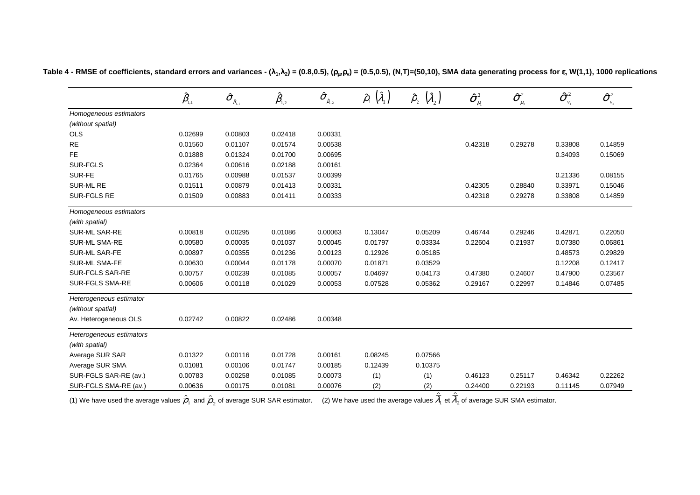|                          | $\hat{\beta}_{\scriptscriptstyle\!\scriptscriptstyle 1,1}$ | $\boldsymbol{\hat{\sigma}}_{_{\hat{\beta}_{1,1}}}$ | $\hat{\pmb \beta}_{\scriptscriptstyle 1,2}$ | $\pmb{\widehat{\sigma}}_{_{\hat{\beta}_{\mathfrak{l},2}}}$ | $(\hat{\lambda}_1)$<br>$\hat{\rho}_{\shortparallel}$ | $(\hat{\lambda}_2)$<br>$\hat{\rho}_{_2}$ | $\boldsymbol{\hat{\sigma}}^{\scriptscriptstyle 2}_{\scriptscriptstyle \mu_{\scriptscriptstyle 1}}$ | $\boldsymbol{\hat{\sigma}}^{\scriptscriptstyle 2}_{\scriptscriptstyle \mu_2}$ | $\hat{\sigma}^{\scriptscriptstyle 2}_{\scriptscriptstyle \dots}$<br>$v_1$ | $\pmb{\hat{\sigma}}_{\nu_2}^2$ |
|--------------------------|------------------------------------------------------------|----------------------------------------------------|---------------------------------------------|------------------------------------------------------------|------------------------------------------------------|------------------------------------------|----------------------------------------------------------------------------------------------------|-------------------------------------------------------------------------------|---------------------------------------------------------------------------|--------------------------------|
| Homogeneous estimators   |                                                            |                                                    |                                             |                                                            |                                                      |                                          |                                                                                                    |                                                                               |                                                                           |                                |
| (without spatial)        |                                                            |                                                    |                                             |                                                            |                                                      |                                          |                                                                                                    |                                                                               |                                                                           |                                |
| <b>OLS</b>               | 0.02699                                                    | 0.00803                                            | 0.02418                                     | 0.00331                                                    |                                                      |                                          |                                                                                                    |                                                                               |                                                                           |                                |
| $\sf RE$                 | 0.01560                                                    | 0.01107                                            | 0.01574                                     | 0.00538                                                    |                                                      |                                          | 0.42318                                                                                            | 0.29278                                                                       | 0.33808                                                                   | 0.14859                        |
| <b>FE</b>                | 0.01888                                                    | 0.01324                                            | 0.01700                                     | 0.00695                                                    |                                                      |                                          |                                                                                                    |                                                                               | 0.34093                                                                   | 0.15069                        |
| <b>SUR-FGLS</b>          | 0.02364                                                    | 0.00616                                            | 0.02188                                     | 0.00161                                                    | $\overline{\phantom{0}}$                             | $\overline{\phantom{a}}$                 |                                                                                                    |                                                                               |                                                                           |                                |
| SUR-FE                   | 0.01765                                                    | 0.00988                                            | 0.01537                                     | 0.00399                                                    |                                                      |                                          |                                                                                                    |                                                                               | 0.21336                                                                   | 0.08155                        |
| SUR-ML RE                | 0.01511                                                    | 0.00879                                            | 0.01413                                     | 0.00331                                                    | $\overline{\phantom{0}}$                             |                                          | 0.42305                                                                                            | 0.28840                                                                       | 0.33971                                                                   | 0.15046                        |
| SUR-FGLS RE              | 0.01509                                                    | 0.00883                                            | 0.01411                                     | 0.00333                                                    |                                                      |                                          | 0.42318                                                                                            | 0.29278                                                                       | 0.33808                                                                   | 0.14859                        |
| Homogeneous estimators   |                                                            |                                                    |                                             |                                                            |                                                      |                                          |                                                                                                    |                                                                               |                                                                           |                                |
| (with spatial)           |                                                            |                                                    |                                             |                                                            |                                                      |                                          |                                                                                                    |                                                                               |                                                                           |                                |
| SUR-ML SAR-RE            | 0.00818                                                    | 0.00295                                            | 0.01086                                     | 0.00063                                                    | 0.13047                                              | 0.05209                                  | 0.46744                                                                                            | 0.29246                                                                       | 0.42871                                                                   | 0.22050                        |
| <b>SUR-ML SMA-RE</b>     | 0.00580                                                    | 0.00035                                            | 0.01037                                     | 0.00045                                                    | 0.01797                                              | 0.03334                                  | 0.22604                                                                                            | 0.21937                                                                       | 0.07380                                                                   | 0.06861                        |
| SUR-ML SAR-FE            | 0.00897                                                    | 0.00355                                            | 0.01236                                     | 0.00123                                                    | 0.12926                                              | 0.05185                                  |                                                                                                    |                                                                               | 0.48573                                                                   | 0.29829                        |
| SUR-ML SMA-FE            | 0.00630                                                    | 0.00044                                            | 0.01178                                     | 0.00070                                                    | 0.01871                                              | 0.03529                                  |                                                                                                    |                                                                               | 0.12208                                                                   | 0.12417                        |
| SUR-FGLS SAR-RE          | 0.00757                                                    | 0.00239                                            | 0.01085                                     | 0.00057                                                    | 0.04697                                              | 0.04173                                  | 0.47380                                                                                            | 0.24607                                                                       | 0.47900                                                                   | 0.23567                        |
| SUR-FGLS SMA-RE          | 0.00606                                                    | 0.00118                                            | 0.01029                                     | 0.00053                                                    | 0.07528                                              | 0.05362                                  | 0.29167                                                                                            | 0.22997                                                                       | 0.14846                                                                   | 0.07485                        |
| Heterogeneous estimator  |                                                            |                                                    |                                             |                                                            |                                                      |                                          |                                                                                                    |                                                                               |                                                                           |                                |
| (without spatial)        |                                                            |                                                    |                                             |                                                            |                                                      |                                          |                                                                                                    |                                                                               |                                                                           |                                |
| Av. Heterogeneous OLS    | 0.02742                                                    | 0.00822                                            | 0.02486                                     | 0.00348                                                    |                                                      |                                          |                                                                                                    |                                                                               |                                                                           |                                |
| Heterogeneous estimators |                                                            |                                                    |                                             |                                                            |                                                      |                                          |                                                                                                    |                                                                               |                                                                           |                                |
| (with spatial)           |                                                            |                                                    |                                             |                                                            |                                                      |                                          |                                                                                                    |                                                                               |                                                                           |                                |
| Average SUR SAR          | 0.01322                                                    | 0.00116                                            | 0.01728                                     | 0.00161                                                    | 0.08245                                              | 0.07566                                  |                                                                                                    |                                                                               |                                                                           |                                |
| Average SUR SMA          | 0.01081                                                    | 0.00106                                            | 0.01747                                     | 0.00185                                                    | 0.12439                                              | 0.10375                                  |                                                                                                    |                                                                               |                                                                           |                                |
| SUR-FGLS SAR-RE (av.)    | 0.00783                                                    | 0.00258                                            | 0.01085                                     | 0.00073                                                    | (1)                                                  | (1)                                      | 0.46123                                                                                            | 0.25117                                                                       | 0.46342                                                                   | 0.22262                        |
| SUR-FGLS SMA-RE (av.)    | 0.00636                                                    | 0.00175                                            | 0.01081                                     | 0.00076                                                    | (2)                                                  | (2)                                      | 0.24400                                                                                            | 0.22193                                                                       | 0.11145                                                                   | 0.07949                        |

ˆ

ˆ

Table 4 - RMSE of coefficients, standard errors and variances - ( $\lambda_1,\lambda_2$ ) = (0.8,0.5), ( $\rho_\mu,\rho_v$ ) = (0.5,0.5), (N,T)=(50,10), SMA data generating process for  $\bm{\epsilon}$ , W(1,1), 1000 replications

(1) We have used the average values  $\overline{\rho}_{\scriptscriptstyle 1}$  and  $\overline{\rho}_{\scriptscriptstyle 2}$  of average SUR SAR estimator.  $\quad$  (2) We have used the average values  $\lambda_{\scriptscriptstyle 1}$  et  $\lambda_{\scriptscriptstyle 2}$  of average SUR SMA estimator.  $\lambda_{\!\scriptscriptstyle 1}$  et  $\lambda_{\!\scriptscriptstyle 2}$  $\rho_{_1}$  and  $\rho_{_2}$  of average SUR SAR estimator. (2) We have used the average values  $\lambda_{_1}$  et  $\lambda$  $\hat{\overline\theta}_1$  and  $\hat{\overline{\rho}}_2$  of average SUR SAR estimator.  $\quad$  (2) We have used the average values  $\overline\lambda_1$  et  $\overline\lambda_2$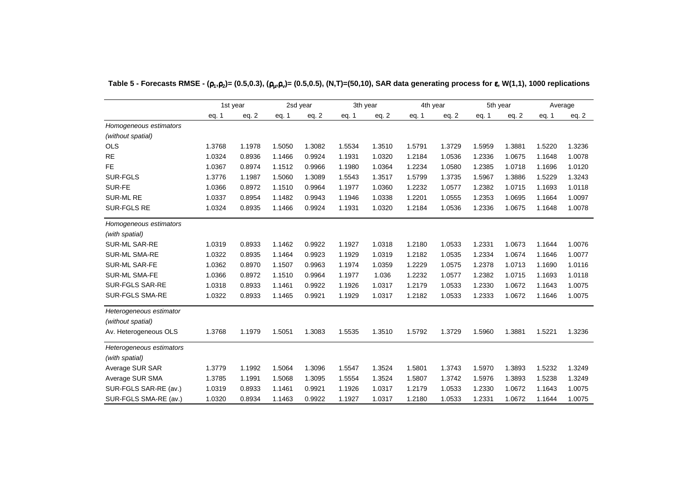|                          |        | 1st year |        | 2sd year |        | 3th year |        | 4th year |        | 5th year |        | Average |
|--------------------------|--------|----------|--------|----------|--------|----------|--------|----------|--------|----------|--------|---------|
|                          | eq. 1  | eq. 2    | eq. 1  | eq. $2$  | eq. 1  | eq. 2    | eq. 1  | eq. $2$  | eq. 1  | eq. $2$  | eq. 1  | eq. $2$ |
| Homogeneous estimators   |        |          |        |          |        |          |        |          |        |          |        |         |
| (without spatial)        |        |          |        |          |        |          |        |          |        |          |        |         |
| <b>OLS</b>               | 1.3768 | 1.1978   | 1.5050 | 1.3082   | 1.5534 | 1.3510   | 1.5791 | 1.3729   | 1.5959 | 1.3881   | 1.5220 | 1.3236  |
| <b>RE</b>                | 1.0324 | 0.8936   | 1.1466 | 0.9924   | 1.1931 | 1.0320   | 1.2184 | 1.0536   | 1.2336 | 1.0675   | 1.1648 | 1.0078  |
| <b>FE</b>                | 1.0367 | 0.8974   | 1.1512 | 0.9966   | 1.1980 | 1.0364   | 1.2234 | 1.0580   | 1.2385 | 1.0718   | 1.1696 | 1.0120  |
| <b>SUR-FGLS</b>          | 1.3776 | 1.1987   | 1.5060 | 1.3089   | 1.5543 | 1.3517   | 1.5799 | 1.3735   | 1.5967 | 1.3886   | 1.5229 | 1.3243  |
| SUR-FE                   | 1.0366 | 0.8972   | 1.1510 | 0.9964   | 1.1977 | 1.0360   | 1.2232 | 1.0577   | 1.2382 | 1.0715   | 1.1693 | 1.0118  |
| <b>SUR-ML RE</b>         | 1.0337 | 0.8954   | 1.1482 | 0.9943   | 1.1946 | 1.0338   | 1.2201 | 1.0555   | 1.2353 | 1.0695   | 1.1664 | 1.0097  |
| <b>SUR-FGLS RE</b>       | 1.0324 | 0.8935   | 1.1466 | 0.9924   | 1.1931 | 1.0320   | 1.2184 | 1.0536   | 1.2336 | 1.0675   | 1.1648 | 1.0078  |
| Homogeneous estimators   |        |          |        |          |        |          |        |          |        |          |        |         |
| (with spatial)           |        |          |        |          |        |          |        |          |        |          |        |         |
| <b>SUR-ML SAR-RE</b>     | 1.0319 | 0.8933   | 1.1462 | 0.9922   | 1.1927 | 1.0318   | 1.2180 | 1.0533   | 1.2331 | 1.0673   | 1.1644 | 1.0076  |
| <b>SUR-ML SMA-RE</b>     | 1.0322 | 0.8935   | 1.1464 | 0.9923   | 1.1929 | 1.0319   | 1.2182 | 1.0535   | 1.2334 | 1.0674   | 1.1646 | 1.0077  |
| <b>SUR-ML SAR-FE</b>     | 1.0362 | 0.8970   | 1.1507 | 0.9963   | 1.1974 | 1.0359   | 1.2229 | 1.0575   | 1.2378 | 1.0713   | 1.1690 | 1.0116  |
| SUR-ML SMA-FE            | 1.0366 | 0.8972   | 1.1510 | 0.9964   | 1.1977 | 1.036    | 1.2232 | 1.0577   | 1.2382 | 1.0715   | 1.1693 | 1.0118  |
| SUR-FGLS SAR-RE          | 1.0318 | 0.8933   | 1.1461 | 0.9922   | 1.1926 | 1.0317   | 1.2179 | 1.0533   | 1.2330 | 1.0672   | 1.1643 | 1.0075  |
| <b>SUR-FGLS SMA-RE</b>   | 1.0322 | 0.8933   | 1.1465 | 0.9921   | 1.1929 | 1.0317   | 1.2182 | 1.0533   | 1.2333 | 1.0672   | 1.1646 | 1.0075  |
| Heterogeneous estimator  |        |          |        |          |        |          |        |          |        |          |        |         |
| (without spatial)        |        |          |        |          |        |          |        |          |        |          |        |         |
| Av. Heterogeneous OLS    | 1.3768 | 1.1979   | 1.5051 | 1.3083   | 1.5535 | 1.3510   | 1.5792 | 1.3729   | 1.5960 | 1.3881   | 1.5221 | 1.3236  |
| Heterogeneous estimators |        |          |        |          |        |          |        |          |        |          |        |         |
| (with spatial)           |        |          |        |          |        |          |        |          |        |          |        |         |
| Average SUR SAR          | 1.3779 | 1.1992   | 1.5064 | 1.3096   | 1.5547 | 1.3524   | 1.5801 | 1.3743   | 1.5970 | 1.3893   | 1.5232 | 1.3249  |
| Average SUR SMA          | 1.3785 | 1.1991   | 1.5068 | 1.3095   | 1.5554 | 1.3524   | 1.5807 | 1.3742   | 1.5976 | 1.3893   | 1.5238 | 1.3249  |
| SUR-FGLS SAR-RE (av.)    | 1.0319 | 0.8933   | 1.1461 | 0.9921   | 1.1926 | 1.0317   | 1.2179 | 1.0533   | 1.2330 | 1.0672   | 1.1643 | 1.0075  |
| SUR-FGLS SMA-RE (av.)    | 1.0320 | 0.8934   | 1.1463 | 0.9922   | 1.1927 | 1.0317   | 1.2180 | 1.0533   | 1.2331 | 1.0672   | 1.1644 | 1.0075  |

**Table 5 - Forecasts RMSE - (**ρ**1 ,**ρ**2)= (0.5,0.3), (**ρµ **,**ρ**v)= (0.5,0.5), (N,T)=(50,10), SAR data generating process for** <sup>ε</sup>**, W(1,1), 1000 replications**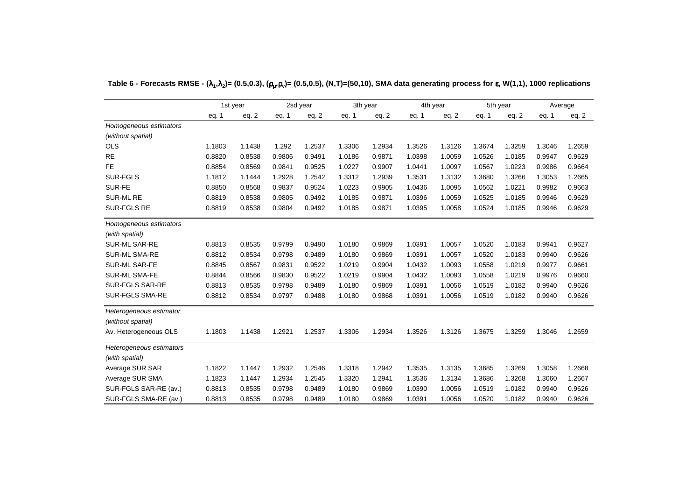|                          |        | 1st year |        | 2sd year<br>3th year |        |         |        | 4th year | 5th year |         | Average |         |  |
|--------------------------|--------|----------|--------|----------------------|--------|---------|--------|----------|----------|---------|---------|---------|--|
|                          | eq. 1  | eq. 2    | eq. 1  | eq. $2$              | eq. 1  | eq. $2$ | eq. 1  | eq. $2$  | eq. 1    | eq. $2$ | eq. 1   | eq. $2$ |  |
| Homogeneous estimators   |        |          |        |                      |        |         |        |          |          |         |         |         |  |
| (without spatial)        |        |          |        |                      |        |         |        |          |          |         |         |         |  |
| <b>OLS</b>               | 1.1803 | 1.1438   | 1.292  | 1.2537               | 1.3306 | 1.2934  | 1.3526 | 1.3126   | 1.3674   | 1.3259  | 1.3046  | 1.2659  |  |
| <b>RE</b>                | 0.8820 | 0.8538   | 0.9806 | 0.9491               | 1.0186 | 0.9871  | 1.0398 | 1.0059   | 1.0526   | 1.0185  | 0.9947  | 0.9629  |  |
| <b>FE</b>                | 0.8854 | 0.8569   | 0.9841 | 0.9525               | 1.0227 | 0.9907  | 1.0441 | 1.0097   | 1.0567   | 1.0223  | 0.9986  | 0.9664  |  |
| SUR-FGLS                 | 1.1812 | 1.1444   | 1.2928 | 1.2542               | 1.3312 | 1.2939  | 1.3531 | 1.3132   | 1.3680   | 1.3266  | 1.3053  | 1.2665  |  |
| SUR-FE                   | 0.8850 | 0.8568   | 0.9837 | 0.9524               | 1.0223 | 0.9905  | 1.0436 | 1.0095   | 1.0562   | 1.0221  | 0.9982  | 0.9663  |  |
| <b>SUR-ML RE</b>         | 0.8819 | 0.8538   | 0.9805 | 0.9492               | 1.0185 | 0.9871  | 1.0396 | 1.0059   | 1.0525   | 1.0185  | 0.9946  | 0.9629  |  |
| SUR-FGLS RE              | 0.8819 | 0.8538   | 0.9804 | 0.9492               | 1.0185 | 0.9871  | 1.0395 | 1.0058   | 1.0524   | 1.0185  | 0.9946  | 0.9629  |  |
| Homogeneous estimators   |        |          |        |                      |        |         |        |          |          |         |         |         |  |
| (with spatial)           |        |          |        |                      |        |         |        |          |          |         |         |         |  |
| <b>SUR-ML SAR-RE</b>     | 0.8813 | 0.8535   | 0.9799 | 0.9490               | 1.0180 | 0.9869  | 1.0391 | 1.0057   | 1.0520   | 1.0183  | 0.9941  | 0.9627  |  |
| <b>SUR-ML SMA-RE</b>     | 0.8812 | 0.8534   | 0.9798 | 0.9489               | 1.0180 | 0.9869  | 1.0391 | 1.0057   | 1.0520   | 1.0183  | 0.9940  | 0.9626  |  |
| SUR-ML SAR-FE            | 0.8845 | 0.8567   | 0.9831 | 0.9522               | 1.0219 | 0.9904  | 1.0432 | 1.0093   | 1.0558   | 1.0219  | 0.9977  | 0.9661  |  |
| SUR-ML SMA-FE            | 0.8844 | 0.8566   | 0.9830 | 0.9522               | 1.0219 | 0.9904  | 1.0432 | 1.0093   | 1.0558   | 1.0219  | 0.9976  | 0.9660  |  |
| SUR-FGLS SAR-RE          | 0.8813 | 0.8535   | 0.9798 | 0.9489               | 1.0180 | 0.9869  | 1.0391 | 1.0056   | 1.0519   | 1.0182  | 0.9940  | 0.9626  |  |
| SUR-FGLS SMA-RE          | 0.8812 | 0.8534   | 0.9797 | 0.9488               | 1.0180 | 0.9868  | 1.0391 | 1.0056   | 1.0519   | 1.0182  | 0.9940  | 0.9626  |  |
| Heterogeneous estimator  |        |          |        |                      |        |         |        |          |          |         |         |         |  |
| (without spatial)        |        |          |        |                      |        |         |        |          |          |         |         |         |  |
| Av. Heterogeneous OLS    | 1.1803 | 1.1438   | 1.2921 | 1.2537               | 1.3306 | 1.2934  | 1.3526 | 1.3126   | 1.3675   | 1.3259  | 1.3046  | 1.2659  |  |
| Heterogeneous estimators |        |          |        |                      |        |         |        |          |          |         |         |         |  |
| (with spatial)           |        |          |        |                      |        |         |        |          |          |         |         |         |  |
| Average SUR SAR          | 1.1822 | 1.1447   | 1.2932 | 1.2546               | 1.3318 | 1.2942  | 1.3535 | 1.3135   | 1.3685   | 1.3269  | 1.3058  | 1.2668  |  |
| Average SUR SMA          | 1.1823 | 1.1447   | 1.2934 | 1.2545               | 1.3320 | 1.2941  | 1.3536 | 1.3134   | 1.3686   | 1.3268  | 1.3060  | 1.2667  |  |
| SUR-FGLS SAR-RE (av.)    | 0.8813 | 0.8535   | 0.9798 | 0.9489               | 1.0180 | 0.9869  | 1.0390 | 1.0056   | 1.0519   | 1.0182  | 0.9940  | 0.9626  |  |
| SUR-FGLS SMA-RE (av.)    | 0.8813 | 0.8535   | 0.9798 | 0.9489               | 1.0180 | 0.9869  | 1.0391 | 1.0056   | 1.0520   | 1.0182  | 0.9940  | 0.9626  |  |

| Table 6 - Forecasts RMSE - ( $\lambda_1, \lambda_2$ )= (0.5,0.3), ( $\rho_u, \rho_v$ )= (0.5,0.5), (N,T)=(50,10), SMA data generating process for $\varepsilon$ , W(1,1), 1000 replications |
|---------------------------------------------------------------------------------------------------------------------------------------------------------------------------------------------|
|---------------------------------------------------------------------------------------------------------------------------------------------------------------------------------------------|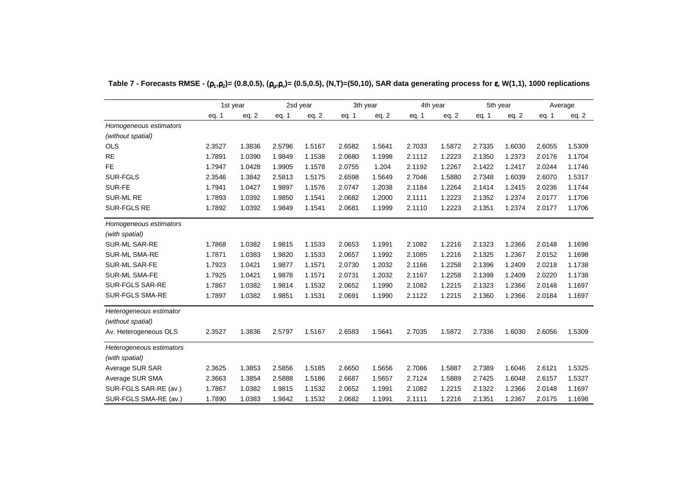|                          |        | 1st year |        | 2sd year | 3th year |        | 4th year |         |        | 5th year |        | Average |
|--------------------------|--------|----------|--------|----------|----------|--------|----------|---------|--------|----------|--------|---------|
|                          | eq. 1  | eq. 2    | eq. 1  | eq. $2$  | eq. 1    | eq. 2  | eq. 1    | eq. $2$ | eq. 1  | eq. $2$  | eq. 1  | eq. $2$ |
| Homogeneous estimators   |        |          |        |          |          |        |          |         |        |          |        |         |
| (without spatial)        |        |          |        |          |          |        |          |         |        |          |        |         |
| <b>OLS</b>               | 2.3527 | 1.3836   | 2.5796 | 1.5167   | 2.6582   | 1.5641 | 2.7033   | 1.5872  | 2.7335 | 1.6030   | 2.6055 | 1.5309  |
| <b>RE</b>                | 1.7891 | 1.0390   | 1.9849 | 1.1538   | 2.0680   | 1.1998 | 2.1112   | 1.2223  | 2.1350 | 1.2373   | 2.0176 | 1.1704  |
| <b>FE</b>                | 1.7947 | 1.0428   | 1.9905 | 1.1578   | 2.0755   | 1.204  | 2.1192   | 1.2267  | 2.1422 | 1.2417   | 2.0244 | 1.1746  |
| <b>SUR-FGLS</b>          | 2.3546 | 1.3842   | 2.5813 | 1.5175   | 2.6598   | 1.5649 | 2.7046   | 1.5880  | 2.7348 | 1.6039   | 2.6070 | 1.5317  |
| SUR-FE                   | 1.7941 | 1.0427   | 1.9897 | 1.1576   | 2.0747   | 1.2038 | 2.1184   | 1.2264  | 2.1414 | 1.2415   | 2.0236 | 1.1744  |
| <b>SUR-ML RE</b>         | 1.7893 | 1.0392   | 1.9850 | 1.1541   | 2.0682   | 1.2000 | 2.1111   | 1.2223  | 2.1352 | 1.2374   | 2.0177 | 1.1706  |
| <b>SUR-FGLS RE</b>       | 1.7892 | 1.0392   | 1.9849 | 1.1541   | 2.0681   | 1.1999 | 2.1110   | 1.2223  | 2.1351 | 1.2374   | 2.0177 | 1.1706  |
| Homogeneous estimators   |        |          |        |          |          |        |          |         |        |          |        |         |
| (with spatial)           |        |          |        |          |          |        |          |         |        |          |        |         |
| <b>SUR-ML SAR-RE</b>     | 1.7868 | 1.0382   | 1.9815 | 1.1533   | 2.0653   | 1.1991 | 2.1082   | 1.2216  | 2.1323 | 1.2366   | 2.0148 | 1.1698  |
| <b>SUR-ML SMA-RE</b>     | 1.7871 | 1.0383   | 1.9820 | 1.1533   | 2.0657   | 1.1992 | 2.1085   | 1.2216  | 2.1325 | 1.2367   | 2.0152 | 1.1698  |
| <b>SUR-ML SAR-FE</b>     | 1.7923 | 1.0421   | 1.9877 | 1.1571   | 2.0730   | 1.2032 | 2.1166   | 1.2258  | 2.1396 | 1.2409   | 2.0218 | 1.1738  |
| SUR-ML SMA-FE            | 1.7925 | 1.0421   | 1.9878 | 1.1571   | 2.0731   | 1.2032 | 2.1167   | 1.2258  | 2.1398 | 1.2409   | 2.0220 | 1.1738  |
| SUR-FGLS SAR-RE          | 1.7867 | 1.0382   | 1.9814 | 1.1532   | 2.0652   | 1.1990 | 2.1082   | 1.2215  | 2.1323 | 1.2366   | 2.0148 | 1.1697  |
| <b>SUR-FGLS SMA-RE</b>   | 1.7897 | 1.0382   | 1.9851 | 1.1531   | 2.0691   | 1.1990 | 2.1122   | 1.2215  | 2.1360 | 1.2366   | 2.0184 | 1.1697  |
| Heterogeneous estimator  |        |          |        |          |          |        |          |         |        |          |        |         |
| (without spatial)        |        |          |        |          |          |        |          |         |        |          |        |         |
| Av. Heterogeneous OLS    | 2.3527 | 1.3836   | 2.5797 | 1.5167   | 2.6583   | 1.5641 | 2.7035   | 1.5872  | 2.7336 | 1.6030   | 2.6056 | 1.5309  |
| Heterogeneous estimators |        |          |        |          |          |        |          |         |        |          |        |         |
| (with spatial)           |        |          |        |          |          |        |          |         |        |          |        |         |
| Average SUR SAR          | 2.3625 | 1.3853   | 2.5856 | 1.5185   | 2.6650   | 1.5656 | 2.7086   | 1.5887  | 2.7389 | 1.6046   | 2.6121 | 1.5325  |
| Average SUR SMA          | 2.3663 | 1.3854   | 2.5888 | 1.5186   | 2.6687   | 1.5657 | 2.7124   | 1.5889  | 2.7425 | 1.6048   | 2.6157 | 1.5327  |
| SUR-FGLS SAR-RE (av.)    | 1.7867 | 1.0382   | 1.9815 | 1.1532   | 2.0652   | 1.1991 | 2.1082   | 1.2215  | 2.1322 | 1.2366   | 2.0148 | 1.1697  |
| SUR-FGLS SMA-RE (av.)    | 1.7890 | 1.0383   | 1.9842 | 1.1532   | 2.0682   | 1.1991 | 2.1111   | 1.2216  | 2.1351 | 1.2367   | 2.0175 | 1.1698  |

**Table 7 - Forecasts RMSE - (**ρ**1 ,**ρ**2)= (0.8,0.5), (**ρµ **,**ρ**v)= (0.5,0.5), (N,T)=(50,10), SAR data generating process for** <sup>ε</sup>**, W(1,1), 1000 replications**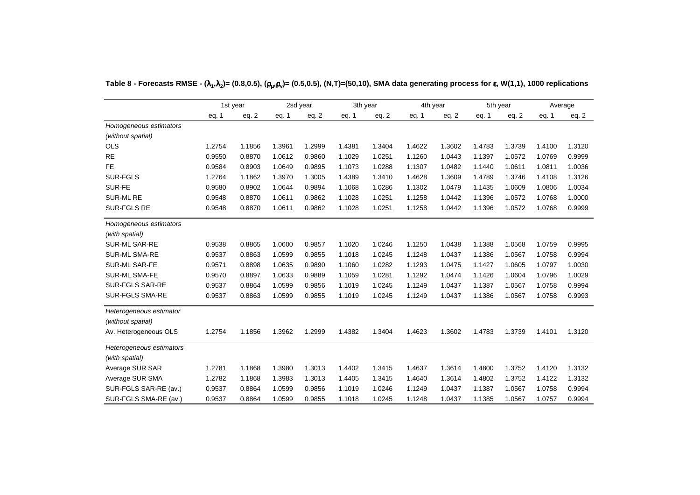|                          |        | 1st year |        | 2sd year |        | 3th year |        | 4th year |        | 5th year |        | Average |
|--------------------------|--------|----------|--------|----------|--------|----------|--------|----------|--------|----------|--------|---------|
|                          | eq. 1  | eq. 2    | eq. 1  | eq. 2    | eq. 1  | eq. 2    | eq. 1  | eq. $2$  | eq. 1  | eq. $2$  | eq. 1  | eq. $2$ |
| Homogeneous estimators   |        |          |        |          |        |          |        |          |        |          |        |         |
| (without spatial)        |        |          |        |          |        |          |        |          |        |          |        |         |
| <b>OLS</b>               | 1.2754 | 1.1856   | 1.3961 | 1.2999   | 1.4381 | 1.3404   | 1.4622 | 1.3602   | 1.4783 | 1.3739   | 1.4100 | 1.3120  |
| <b>RE</b>                | 0.9550 | 0.8870   | 1.0612 | 0.9860   | 1.1029 | 1.0251   | 1.1260 | 1.0443   | 1.1397 | 1.0572   | 1.0769 | 0.9999  |
| <b>FE</b>                | 0.9584 | 0.8903   | 1.0649 | 0.9895   | 1.1073 | 1.0288   | 1.1307 | 1.0482   | 1.1440 | 1.0611   | 1.0811 | 1.0036  |
| <b>SUR-FGLS</b>          | 1.2764 | 1.1862   | 1.3970 | 1.3005   | 1.4389 | 1.3410   | 1.4628 | 1.3609   | 1.4789 | 1.3746   | 1.4108 | 1.3126  |
| SUR-FE                   | 0.9580 | 0.8902   | 1.0644 | 0.9894   | 1.1068 | 1.0286   | 1.1302 | 1.0479   | 1.1435 | 1.0609   | 1.0806 | 1.0034  |
| <b>SUR-ML RE</b>         | 0.9548 | 0.8870   | 1.0611 | 0.9862   | 1.1028 | 1.0251   | 1.1258 | 1.0442   | 1.1396 | 1.0572   | 1.0768 | 1.0000  |
| <b>SUR-FGLS RE</b>       | 0.9548 | 0.8870   | 1.0611 | 0.9862   | 1.1028 | 1.0251   | 1.1258 | 1.0442   | 1.1396 | 1.0572   | 1.0768 | 0.9999  |
| Homogeneous estimators   |        |          |        |          |        |          |        |          |        |          |        |         |
| (with spatial)           |        |          |        |          |        |          |        |          |        |          |        |         |
| <b>SUR-ML SAR-RE</b>     | 0.9538 | 0.8865   | 1.0600 | 0.9857   | 1.1020 | 1.0246   | 1.1250 | 1.0438   | 1.1388 | 1.0568   | 1.0759 | 0.9995  |
| <b>SUR-ML SMA-RE</b>     | 0.9537 | 0.8863   | 1.0599 | 0.9855   | 1.1018 | 1.0245   | 1.1248 | 1.0437   | 1.1386 | 1.0567   | 1.0758 | 0.9994  |
| <b>SUR-ML SAR-FE</b>     | 0.9571 | 0.8898   | 1.0635 | 0.9890   | 1.1060 | 1.0282   | 1.1293 | 1.0475   | 1.1427 | 1.0605   | 1.0797 | 1.0030  |
| SUR-ML SMA-FE            | 0.9570 | 0.8897   | 1.0633 | 0.9889   | 1.1059 | 1.0281   | 1.1292 | 1.0474   | 1.1426 | 1.0604   | 1.0796 | 1.0029  |
| <b>SUR-FGLS SAR-RE</b>   | 0.9537 | 0.8864   | 1.0599 | 0.9856   | 1.1019 | 1.0245   | 1.1249 | 1.0437   | 1.1387 | 1.0567   | 1.0758 | 0.9994  |
| <b>SUR-FGLS SMA-RE</b>   | 0.9537 | 0.8863   | 1.0599 | 0.9855   | 1.1019 | 1.0245   | 1.1249 | 1.0437   | 1.1386 | 1.0567   | 1.0758 | 0.9993  |
| Heterogeneous estimator  |        |          |        |          |        |          |        |          |        |          |        |         |
| (without spatial)        |        |          |        |          |        |          |        |          |        |          |        |         |
| Av. Heterogeneous OLS    | 1.2754 | 1.1856   | 1.3962 | 1.2999   | 1.4382 | 1.3404   | 1.4623 | 1.3602   | 1.4783 | 1.3739   | 1.4101 | 1.3120  |
| Heterogeneous estimators |        |          |        |          |        |          |        |          |        |          |        |         |
| (with spatial)           |        |          |        |          |        |          |        |          |        |          |        |         |
| Average SUR SAR          | 1.2781 | 1.1868   | 1.3980 | 1.3013   | 1.4402 | 1.3415   | 1.4637 | 1.3614   | 1.4800 | 1.3752   | 1.4120 | 1.3132  |
| Average SUR SMA          | 1.2782 | 1.1868   | 1.3983 | 1.3013   | 1.4405 | 1.3415   | 1.4640 | 1.3614   | 1.4802 | 1.3752   | 1.4122 | 1.3132  |
| SUR-FGLS SAR-RE (av.)    | 0.9537 | 0.8864   | 1.0599 | 0.9856   | 1.1019 | 1.0246   | 1.1249 | 1.0437   | 1.1387 | 1.0567   | 1.0758 | 0.9994  |
| SUR-FGLS SMA-RE (av.)    | 0.9537 | 0.8864   | 1.0599 | 0.9855   | 1.1018 | 1.0245   | 1.1248 | 1.0437   | 1.1385 | 1.0567   | 1.0757 | 0.9994  |

**Table 8 - Forecasts RMSE - (**λ**1 ,**λ**2)= (0.8,0.5), (**ρµ **,**ρ**v)= (0.5,0.5), (N,T)=(50,10), SMA data generating process for** <sup>ε</sup>**, W(1,1), 1000 replications**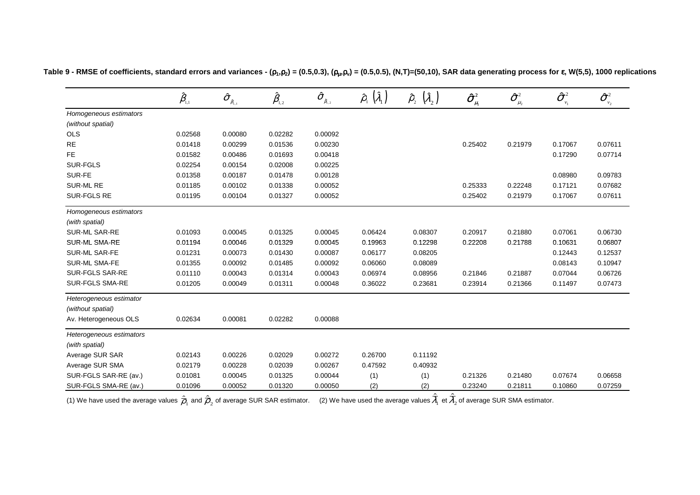|                          | $\hat{\beta}_{\scriptscriptstyle\!\scriptscriptstyle 1,1}$ | $\hat{\sigma}_{_{\hat{\beta}_{\text{I},1}}}$ | $\hat{\pmb \beta}_{\scriptscriptstyle 1,2}$ | $\pmb{\widehat{\sigma}}_{_{\hat{\beta}_{\!,2}}}$ | $(\hat{\lambda}_1)$<br>$\hat{\rho}_{\shortparallel}$ | $(\hat{\lambda}_2)$<br>$\hat{\rho}_{_2}$ | $\boldsymbol{\hat{\sigma}}^{\scriptscriptstyle 2}_{\scriptscriptstyle \mu_{\scriptscriptstyle 1}}$ | $\pmb{\hat{\sigma}}^{\scriptscriptstyle 2}_{\scriptscriptstyle \mu_{\scriptscriptstyle 2}}$ | $\boldsymbol{\hat{\sigma}}^{_2}$<br>$v_1$ | $\boldsymbol{\hat{\sigma}}_{\scriptscriptstyle \nu_{\scriptscriptstyle 2}}^{\scriptscriptstyle 2}$ |
|--------------------------|------------------------------------------------------------|----------------------------------------------|---------------------------------------------|--------------------------------------------------|------------------------------------------------------|------------------------------------------|----------------------------------------------------------------------------------------------------|---------------------------------------------------------------------------------------------|-------------------------------------------|----------------------------------------------------------------------------------------------------|
| Homogeneous estimators   |                                                            |                                              |                                             |                                                  |                                                      |                                          |                                                                                                    |                                                                                             |                                           |                                                                                                    |
| (without spatial)        |                                                            |                                              |                                             |                                                  |                                                      |                                          |                                                                                                    |                                                                                             |                                           |                                                                                                    |
| OLS                      | 0.02568                                                    | 0.00080                                      | 0.02282                                     | 0.00092                                          |                                                      |                                          |                                                                                                    |                                                                                             |                                           |                                                                                                    |
| <b>RE</b>                | 0.01418                                                    | 0.00299                                      | 0.01536                                     | 0.00230                                          |                                                      | —                                        | 0.25402                                                                                            | 0.21979                                                                                     | 0.17067                                   | 0.07611                                                                                            |
| <b>FE</b>                | 0.01582                                                    | 0.00486                                      | 0.01693                                     | 0.00418                                          |                                                      |                                          |                                                                                                    |                                                                                             | 0.17290                                   | 0.07714                                                                                            |
| <b>SUR-FGLS</b>          | 0.02254                                                    | 0.00154                                      | 0.02008                                     | 0.00225                                          |                                                      |                                          |                                                                                                    |                                                                                             |                                           |                                                                                                    |
| SUR-FE                   | 0.01358                                                    | 0.00187                                      | 0.01478                                     | 0.00128                                          |                                                      |                                          |                                                                                                    |                                                                                             | 0.08980                                   | 0.09783                                                                                            |
| SUR-ML RE                | 0.01185                                                    | 0.00102                                      | 0.01338                                     | 0.00052                                          |                                                      |                                          | 0.25333                                                                                            | 0.22248                                                                                     | 0.17121                                   | 0.07682                                                                                            |
| SUR-FGLS RE              | 0.01195                                                    | 0.00104                                      | 0.01327                                     | 0.00052                                          |                                                      |                                          | 0.25402                                                                                            | 0.21979                                                                                     | 0.17067                                   | 0.07611                                                                                            |
| Homogeneous estimators   |                                                            |                                              |                                             |                                                  |                                                      |                                          |                                                                                                    |                                                                                             |                                           |                                                                                                    |
| (with spatial)           |                                                            |                                              |                                             |                                                  |                                                      |                                          |                                                                                                    |                                                                                             |                                           |                                                                                                    |
| SUR-ML SAR-RE            | 0.01093                                                    | 0.00045                                      | 0.01325                                     | 0.00045                                          | 0.06424                                              | 0.08307                                  | 0.20917                                                                                            | 0.21880                                                                                     | 0.07061                                   | 0.06730                                                                                            |
| SUR-ML SMA-RE            | 0.01194                                                    | 0.00046                                      | 0.01329                                     | 0.00045                                          | 0.19963                                              | 0.12298                                  | 0.22208                                                                                            | 0.21788                                                                                     | 0.10631                                   | 0.06807                                                                                            |
| <b>SUR-ML SAR-FE</b>     | 0.01231                                                    | 0.00073                                      | 0.01430                                     | 0.00087                                          | 0.06177                                              | 0.08205                                  |                                                                                                    |                                                                                             | 0.12443                                   | 0.12537                                                                                            |
| <b>SUR-ML SMA-FE</b>     | 0.01355                                                    | 0.00092                                      | 0.01485                                     | 0.00092                                          | 0.06060                                              | 0.08089                                  |                                                                                                    |                                                                                             | 0.08143                                   | 0.10947                                                                                            |
| SUR-FGLS SAR-RE          | 0.01110                                                    | 0.00043                                      | 0.01314                                     | 0.00043                                          | 0.06974                                              | 0.08956                                  | 0.21846                                                                                            | 0.21887                                                                                     | 0.07044                                   | 0.06726                                                                                            |
| <b>SUR-FGLS SMA-RE</b>   | 0.01205                                                    | 0.00049                                      | 0.01311                                     | 0.00048                                          | 0.36022                                              | 0.23681                                  | 0.23914                                                                                            | 0.21366                                                                                     | 0.11497                                   | 0.07473                                                                                            |
| Heterogeneous estimator  |                                                            |                                              |                                             |                                                  |                                                      |                                          |                                                                                                    |                                                                                             |                                           |                                                                                                    |
| (without spatial)        |                                                            |                                              |                                             |                                                  |                                                      |                                          |                                                                                                    |                                                                                             |                                           |                                                                                                    |
| Av. Heterogeneous OLS    | 0.02634                                                    | 0.00081                                      | 0.02282                                     | 0.00088                                          |                                                      |                                          |                                                                                                    |                                                                                             |                                           |                                                                                                    |
| Heterogeneous estimators |                                                            |                                              |                                             |                                                  |                                                      |                                          |                                                                                                    |                                                                                             |                                           |                                                                                                    |
| (with spatial)           |                                                            |                                              |                                             |                                                  |                                                      |                                          |                                                                                                    |                                                                                             |                                           |                                                                                                    |
| Average SUR SAR          | 0.02143                                                    | 0.00226                                      | 0.02029                                     | 0.00272                                          | 0.26700                                              | 0.11192                                  |                                                                                                    |                                                                                             |                                           |                                                                                                    |
| Average SUR SMA          | 0.02179                                                    | 0.00228                                      | 0.02039                                     | 0.00267                                          | 0.47592                                              | 0.40932                                  |                                                                                                    |                                                                                             |                                           |                                                                                                    |
| SUR-FGLS SAR-RE (av.)    | 0.01081                                                    | 0.00045                                      | 0.01325                                     | 0.00044                                          | (1)                                                  | (1)                                      | 0.21326                                                                                            | 0.21480                                                                                     | 0.07674                                   | 0.06658                                                                                            |
| SUR-FGLS SMA-RE (av.)    | 0.01096                                                    | 0.00052                                      | 0.01320                                     | 0.00050                                          | (2)                                                  | (2)                                      | 0.23240                                                                                            | 0.21811                                                                                     | 0.10860                                   | 0.07259                                                                                            |

ˆ

ˆ

Table 9 - RMSE of coefficients, standard errors and variances - ( $\rho_1,\rho_2$ ) = (0.5,0.3), ( $\rho_\mu,\rho_v$ ) = (0.5,0.5), (N,T)=(50,10), SAR data generating process for  $\bm{\epsilon}$ , W(5,5), 1000 replications

(1) We have used the average values  $\overline{\rho}_{\scriptscriptstyle 1}$  and  $\overline{\rho}_{\scriptscriptstyle 2}$  of average SUR SAR estimator.  $\quad$  (2) We have used the average values  $\lambda_{\scriptscriptstyle 1}$  et  $\lambda_{\scriptscriptstyle 2}$  of average SUR SMA estimator.  $\varrho_{_1}$  and  $\varrho_{_2}$ ˆ $\mu_2$  or average bert of the commuter. (L) from the decame average value  $\mu_1$  $\lambda_1$  et  $\lambda_2$ λ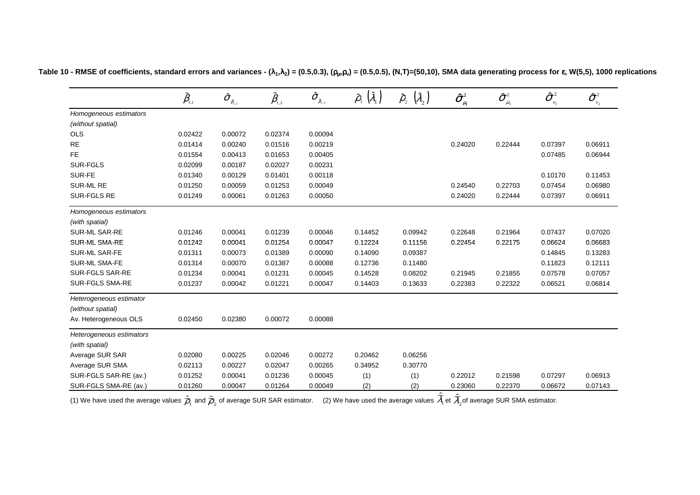|                          | $\hat{\beta}_{\scriptscriptstyle\!\scriptscriptstyle 1,1}$ | $\boldsymbol{\hat{\sigma}}_{_{\hat{\boldsymbol{\beta}}_{\text{1,1}}}}$ | $\hat{\pmb \beta}_{\scriptscriptstyle 1,2}$ | $\boldsymbol{\hat{\sigma}}_{_{\hat{\beta}_{\mathrm{l},2}}}$ | $\hat{\rho}_{_{1}}\left(\hat{\lambda}_{_{1}}\right)$ | $\left(\widehat{\lambda}_{_2}\right)$<br>$\hat{\rho}_{_{2}}$ | $\boldsymbol{\hat{\sigma}}^{\scriptscriptstyle 2}_{\scriptscriptstyle \mu_{\scriptscriptstyle \rm I}}$ | $\hat{\sigma}^{\scriptscriptstyle 2}_{\scriptscriptstyle \mu_2}$ | $\boldsymbol{\hat{\sigma}}_{_{\boldsymbol{v}_1}}^{\text{-2}}$ | $\boldsymbol{\hat{\sigma}}^{\scriptscriptstyle 2}_{\scriptscriptstyle \nu_{\scriptscriptstyle 2}}$ |
|--------------------------|------------------------------------------------------------|------------------------------------------------------------------------|---------------------------------------------|-------------------------------------------------------------|------------------------------------------------------|--------------------------------------------------------------|--------------------------------------------------------------------------------------------------------|------------------------------------------------------------------|---------------------------------------------------------------|----------------------------------------------------------------------------------------------------|
| Homogeneous estimators   |                                                            |                                                                        |                                             |                                                             |                                                      |                                                              |                                                                                                        |                                                                  |                                                               |                                                                                                    |
| (without spatial)        |                                                            |                                                                        |                                             |                                                             |                                                      |                                                              |                                                                                                        |                                                                  |                                                               |                                                                                                    |
| <b>OLS</b>               | 0.02422                                                    | 0.00072                                                                | 0.02374                                     | 0.00094                                                     |                                                      |                                                              |                                                                                                        |                                                                  |                                                               |                                                                                                    |
| <b>RE</b>                | 0.01414                                                    | 0.00240                                                                | 0.01516                                     | 0.00219                                                     |                                                      |                                                              | 0.24020                                                                                                | 0.22444                                                          | 0.07397                                                       | 0.06911                                                                                            |
| FE                       | 0.01554                                                    | 0.00413                                                                | 0.01653                                     | 0.00405                                                     |                                                      |                                                              |                                                                                                        |                                                                  | 0.07485                                                       | 0.06944                                                                                            |
| SUR-FGLS                 | 0.02099                                                    | 0.00187                                                                | 0.02027                                     | 0.00231                                                     |                                                      |                                                              |                                                                                                        |                                                                  |                                                               |                                                                                                    |
| SUR-FE                   | 0.01340                                                    | 0.00129                                                                | 0.01401                                     | 0.00118                                                     |                                                      | $\overline{\phantom{0}}$                                     |                                                                                                        |                                                                  | 0.10170                                                       | 0.11453                                                                                            |
| <b>SUR-ML RE</b>         | 0.01250                                                    | 0.00059                                                                | 0.01253                                     | 0.00049                                                     |                                                      | $\overline{\phantom{0}}$                                     | 0.24540                                                                                                | 0.22703                                                          | 0.07454                                                       | 0.06980                                                                                            |
| SUR-FGLS RE              | 0.01249                                                    | 0.00061                                                                | 0.01263                                     | 0.00050                                                     |                                                      |                                                              | 0.24020                                                                                                | 0.22444                                                          | 0.07397                                                       | 0.06911                                                                                            |
| Homogeneous estimators   |                                                            |                                                                        |                                             |                                                             |                                                      |                                                              |                                                                                                        |                                                                  |                                                               |                                                                                                    |
| (with spatial)           |                                                            |                                                                        |                                             |                                                             |                                                      |                                                              |                                                                                                        |                                                                  |                                                               |                                                                                                    |
| SUR-ML SAR-RE            | 0.01246                                                    | 0.00041                                                                | 0.01239                                     | 0.00046                                                     | 0.14452                                              | 0.09942                                                      | 0.22648                                                                                                | 0.21964                                                          | 0.07437                                                       | 0.07020                                                                                            |
| <b>SUR-ML SMA-RE</b>     | 0.01242                                                    | 0.00041                                                                | 0.01254                                     | 0.00047                                                     | 0.12224                                              | 0.11156                                                      | 0.22454                                                                                                | 0.22175                                                          | 0.06624                                                       | 0.06683                                                                                            |
| <b>SUR-ML SAR-FE</b>     | 0.01311                                                    | 0.00073                                                                | 0.01389                                     | 0.00090                                                     | 0.14090                                              | 0.09387                                                      |                                                                                                        |                                                                  | 0.14845                                                       | 0.13283                                                                                            |
| SUR-ML SMA-FE            | 0.01314                                                    | 0.00070                                                                | 0.01387                                     | 0.00088                                                     | 0.12736                                              | 0.11480                                                      |                                                                                                        |                                                                  | 0.11823                                                       | 0.12111                                                                                            |
| SUR-FGLS SAR-RE          | 0.01234                                                    | 0.00041                                                                | 0.01231                                     | 0.00045                                                     | 0.14528                                              | 0.08202                                                      | 0.21945                                                                                                | 0.21855                                                          | 0.07578                                                       | 0.07057                                                                                            |
| SUR-FGLS SMA-RE          | 0.01237                                                    | 0.00042                                                                | 0.01221                                     | 0.00047                                                     | 0.14403                                              | 0.13633                                                      | 0.22383                                                                                                | 0.22322                                                          | 0.06521                                                       | 0.06814                                                                                            |
| Heterogeneous estimator  |                                                            |                                                                        |                                             |                                                             |                                                      |                                                              |                                                                                                        |                                                                  |                                                               |                                                                                                    |
| (without spatial)        |                                                            |                                                                        |                                             |                                                             |                                                      |                                                              |                                                                                                        |                                                                  |                                                               |                                                                                                    |
| Av. Heterogeneous OLS    | 0.02450                                                    | 0.02380                                                                | 0.00072                                     | 0.00088                                                     |                                                      |                                                              |                                                                                                        |                                                                  |                                                               |                                                                                                    |
| Heterogeneous estimators |                                                            |                                                                        |                                             |                                                             |                                                      |                                                              |                                                                                                        |                                                                  |                                                               |                                                                                                    |
| (with spatial)           |                                                            |                                                                        |                                             |                                                             |                                                      |                                                              |                                                                                                        |                                                                  |                                                               |                                                                                                    |
| Average SUR SAR          | 0.02080                                                    | 0.00225                                                                | 0.02046                                     | 0.00272                                                     | 0.20462                                              | 0.06256                                                      |                                                                                                        |                                                                  |                                                               |                                                                                                    |
| Average SUR SMA          | 0.02113                                                    | 0.00227                                                                | 0.02047                                     | 0.00265                                                     | 0.34952                                              | 0.30770                                                      |                                                                                                        |                                                                  |                                                               |                                                                                                    |
| SUR-FGLS SAR-RE (av.)    | 0.01252                                                    | 0.00041                                                                | 0.01236                                     | 0.00045                                                     | (1)                                                  | (1)                                                          | 0.22012                                                                                                | 0.21598                                                          | 0.07297                                                       | 0.06913                                                                                            |
| SUR-FGLS SMA-RE (av.)    | 0.01260                                                    | 0.00047                                                                | 0.01264                                     | 0.00049                                                     | (2)                                                  | (2)                                                          | 0.23060                                                                                                | 0.22370                                                          | 0.06672                                                       | 0.07143                                                                                            |

Table 10 - RMSE of coefficients, standard errors and variances - ( $\lambda_1,\lambda_2$ ) = (0.5,0.3), ( $\rho_\mu,\rho_v$ ) = (0.5,0.5), (N,T)=(50,10), SMA data generating process for  $\bm{\epsilon}$ , W(5,5), 1000 replications

(1) We have used the average values  $\overline{\rho}_{\scriptscriptstyle 1}$  and  $\overline{\rho}_{\scriptscriptstyle 2}$  of average SUR SAR estimator.  $\quad$  (2) We have used the average values  $\lambda_{\scriptscriptstyle 1}$  et  $\lambda_{\scriptscriptstyle 2}$ of average SUR SMA estimator.  $\varrho_{_1}$  and  $\varrho_{_2}$ ˆ $D_2$  or average bory bary commater. (2) we have used the average values  $\nu_1$  $\lambda_1$ et  $\overline{\lambda}_2$ ˆλ

ˆ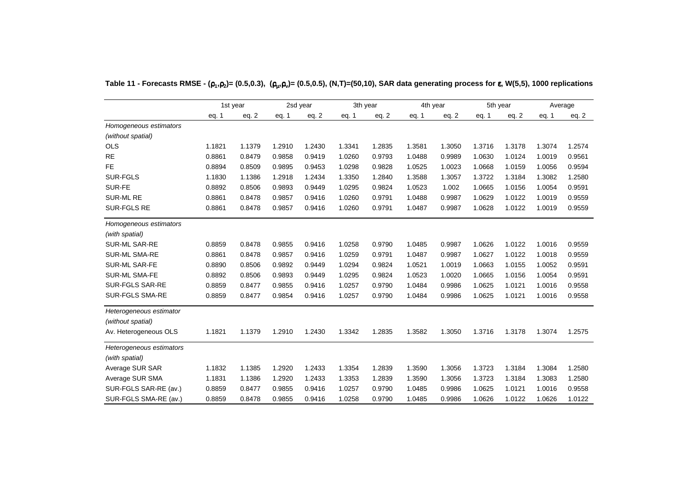|                          |        | 1st year |        | 2sd year | 3th year |         | 4th year |         |        | 5th year |        | Average |
|--------------------------|--------|----------|--------|----------|----------|---------|----------|---------|--------|----------|--------|---------|
|                          | eq. 1  | eq. $2$  | eq. 1  | eq. 2    | eq. 1    | eq. $2$ | eq. 1    | eq. $2$ | eq. 1  | eq. $2$  | eq. 1  | eq. $2$ |
| Homogeneous estimators   |        |          |        |          |          |         |          |         |        |          |        |         |
| (without spatial)        |        |          |        |          |          |         |          |         |        |          |        |         |
| <b>OLS</b>               | 1.1821 | 1.1379   | 1.2910 | 1.2430   | 1.3341   | 1.2835  | 1.3581   | 1.3050  | 1.3716 | 1.3178   | 1.3074 | 1.2574  |
| <b>RE</b>                | 0.8861 | 0.8479   | 0.9858 | 0.9419   | 1.0260   | 0.9793  | 1.0488   | 0.9989  | 1.0630 | 1.0124   | 1.0019 | 0.9561  |
| <b>FE</b>                | 0.8894 | 0.8509   | 0.9895 | 0.9453   | 1.0298   | 0.9828  | 1.0525   | 1.0023  | 1.0668 | 1.0159   | 1.0056 | 0.9594  |
| <b>SUR-FGLS</b>          | 1.1830 | 1.1386   | 1.2918 | 1.2434   | 1.3350   | 1.2840  | 1.3588   | 1.3057  | 1.3722 | 1.3184   | 1.3082 | 1.2580  |
| SUR-FE                   | 0.8892 | 0.8506   | 0.9893 | 0.9449   | 1.0295   | 0.9824  | 1.0523   | 1.002   | 1.0665 | 1.0156   | 1.0054 | 0.9591  |
| <b>SUR-ML RE</b>         | 0.8861 | 0.8478   | 0.9857 | 0.9416   | 1.0260   | 0.9791  | 1.0488   | 0.9987  | 1.0629 | 1.0122   | 1.0019 | 0.9559  |
| <b>SUR-FGLS RE</b>       | 0.8861 | 0.8478   | 0.9857 | 0.9416   | 1.0260   | 0.9791  | 1.0487   | 0.9987  | 1.0628 | 1.0122   | 1.0019 | 0.9559  |
| Homogeneous estimators   |        |          |        |          |          |         |          |         |        |          |        |         |
| (with spatial)           |        |          |        |          |          |         |          |         |        |          |        |         |
| <b>SUR-ML SAR-RE</b>     | 0.8859 | 0.8478   | 0.9855 | 0.9416   | 1.0258   | 0.9790  | 1.0485   | 0.9987  | 1.0626 | 1.0122   | 1.0016 | 0.9559  |
| <b>SUR-ML SMA-RE</b>     | 0.8861 | 0.8478   | 0.9857 | 0.9416   | 1.0259   | 0.9791  | 1.0487   | 0.9987  | 1.0627 | 1.0122   | 1.0018 | 0.9559  |
| SUR-ML SAR-FE            | 0.8890 | 0.8506   | 0.9892 | 0.9449   | 1.0294   | 0.9824  | 1.0521   | 1.0019  | 1.0663 | 1.0155   | 1.0052 | 0.9591  |
| SUR-ML SMA-FE            | 0.8892 | 0.8506   | 0.9893 | 0.9449   | 1.0295   | 0.9824  | 1.0523   | 1.0020  | 1.0665 | 1.0156   | 1.0054 | 0.9591  |
| <b>SUR-FGLS SAR-RE</b>   | 0.8859 | 0.8477   | 0.9855 | 0.9416   | 1.0257   | 0.9790  | 1.0484   | 0.9986  | 1.0625 | 1.0121   | 1.0016 | 0.9558  |
| <b>SUR-FGLS SMA-RE</b>   | 0.8859 | 0.8477   | 0.9854 | 0.9416   | 1.0257   | 0.9790  | 1.0484   | 0.9986  | 1.0625 | 1.0121   | 1.0016 | 0.9558  |
| Heterogeneous estimator  |        |          |        |          |          |         |          |         |        |          |        |         |
| (without spatial)        |        |          |        |          |          |         |          |         |        |          |        |         |
| Av. Heterogeneous OLS    | 1.1821 | 1.1379   | 1.2910 | 1.2430   | 1.3342   | 1.2835  | 1.3582   | 1.3050  | 1.3716 | 1.3178   | 1.3074 | 1.2575  |
| Heterogeneous estimators |        |          |        |          |          |         |          |         |        |          |        |         |
| (with spatial)           |        |          |        |          |          |         |          |         |        |          |        |         |
| Average SUR SAR          | 1.1832 | 1.1385   | 1.2920 | 1.2433   | 1.3354   | 1.2839  | 1.3590   | 1.3056  | 1.3723 | 1.3184   | 1.3084 | 1.2580  |
| Average SUR SMA          | 1.1831 | 1.1386   | 1.2920 | 1.2433   | 1.3353   | 1.2839  | 1.3590   | 1.3056  | 1.3723 | 1.3184   | 1.3083 | 1.2580  |
| SUR-FGLS SAR-RE (av.)    | 0.8859 | 0.8477   | 0.9855 | 0.9416   | 1.0257   | 0.9790  | 1.0485   | 0.9986  | 1.0625 | 1.0121   | 1.0016 | 0.9558  |
| SUR-FGLS SMA-RE (av.)    | 0.8859 | 0.8478   | 0.9855 | 0.9416   | 1.0258   | 0.9790  | 1.0485   | 0.9986  | 1.0626 | 1.0122   | 1.0626 | 1.0122  |

**Table 11 - Forecasts RMSE - (**ρ**1 ,**ρ**2)= (0.5,0.3), (**ρµ **,**ρ**v)= (0.5,0.5), (N,T)=(50,10), SAR data generating process for** <sup>ε</sup>**, W(5,5), 1000 replications**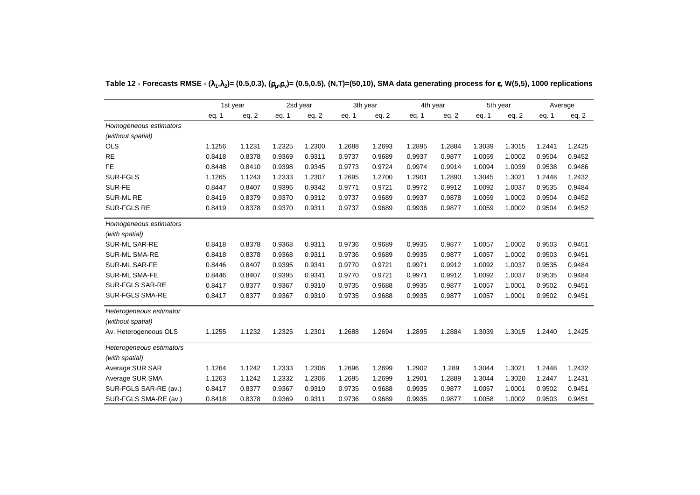|                          | 1st year |        |        | 2sd year | 3th year |         | 4th year |        |        | 5th year |        | Average |
|--------------------------|----------|--------|--------|----------|----------|---------|----------|--------|--------|----------|--------|---------|
|                          | eq. 1    | eq. 2  | eq. 1  | eq. 2    | eq. 1    | eq. $2$ | eq. 1    | eq. 2  | eq. 1  | eq. $2$  | eq. 1  | eq. $2$ |
| Homogeneous estimators   |          |        |        |          |          |         |          |        |        |          |        |         |
| (without spatial)        |          |        |        |          |          |         |          |        |        |          |        |         |
| <b>OLS</b>               | 1.1256   | 1.1231 | 1.2325 | 1.2300   | 1.2688   | 1.2693  | 1.2895   | 1.2884 | 1.3039 | 1.3015   | 1.2441 | 1.2425  |
| <b>RE</b>                | 0.8418   | 0.8378 | 0.9369 | 0.9311   | 0.9737   | 0.9689  | 0.9937   | 0.9877 | 1.0059 | 1.0002   | 0.9504 | 0.9452  |
| <b>FE</b>                | 0.8448   | 0.8410 | 0.9398 | 0.9345   | 0.9773   | 0.9724  | 0.9974   | 0.9914 | 1.0094 | 1.0039   | 0.9538 | 0.9486  |
| <b>SUR-FGLS</b>          | 1.1265   | 1.1243 | 1.2333 | 1.2307   | 1.2695   | 1.2700  | 1.2901   | 1.2890 | 1.3045 | 1.3021   | 1.2448 | 1.2432  |
| SUR-FE                   | 0.8447   | 0.8407 | 0.9396 | 0.9342   | 0.9771   | 0.9721  | 0.9972   | 0.9912 | 1.0092 | 1.0037   | 0.9535 | 0.9484  |
| <b>SUR-ML RE</b>         | 0.8419   | 0.8379 | 0.9370 | 0.9312   | 0.9737   | 0.9689  | 0.9937   | 0.9878 | 1.0059 | 1.0002   | 0.9504 | 0.9452  |
| <b>SUR-FGLS RE</b>       | 0.8419   | 0.8378 | 0.9370 | 0.9311   | 0.9737   | 0.9689  | 0.9936   | 0.9877 | 1.0059 | 1.0002   | 0.9504 | 0.9452  |
| Homogeneous estimators   |          |        |        |          |          |         |          |        |        |          |        |         |
| (with spatial)           |          |        |        |          |          |         |          |        |        |          |        |         |
| <b>SUR-ML SAR-RE</b>     | 0.8418   | 0.8378 | 0.9368 | 0.9311   | 0.9736   | 0.9689  | 0.9935   | 0.9877 | 1.0057 | 1.0002   | 0.9503 | 0.9451  |
| <b>SUR-ML SMA-RE</b>     | 0.8418   | 0.8378 | 0.9368 | 0.9311   | 0.9736   | 0.9689  | 0.9935   | 0.9877 | 1.0057 | 1.0002   | 0.9503 | 0.9451  |
| SUR-ML SAR-FE            | 0.8446   | 0.8407 | 0.9395 | 0.9341   | 0.9770   | 0.9721  | 0.9971   | 0.9912 | 1.0092 | 1.0037   | 0.9535 | 0.9484  |
| SUR-ML SMA-FE            | 0.8446   | 0.8407 | 0.9395 | 0.9341   | 0.9770   | 0.9721  | 0.9971   | 0.9912 | 1.0092 | 1.0037   | 0.9535 | 0.9484  |
| <b>SUR-FGLS SAR-RE</b>   | 0.8417   | 0.8377 | 0.9367 | 0.9310   | 0.9735   | 0.9688  | 0.9935   | 0.9877 | 1.0057 | 1.0001   | 0.9502 | 0.9451  |
| <b>SUR-FGLS SMA-RE</b>   | 0.8417   | 0.8377 | 0.9367 | 0.9310   | 0.9735   | 0.9688  | 0.9935   | 0.9877 | 1.0057 | 1.0001   | 0.9502 | 0.9451  |
| Heterogeneous estimator  |          |        |        |          |          |         |          |        |        |          |        |         |
| (without spatial)        |          |        |        |          |          |         |          |        |        |          |        |         |
| Av. Heterogeneous OLS    | 1.1255   | 1.1232 | 1.2325 | 1.2301   | 1.2688   | 1.2694  | 1.2895   | 1.2884 | 1.3039 | 1.3015   | 1.2440 | 1.2425  |
| Heterogeneous estimators |          |        |        |          |          |         |          |        |        |          |        |         |
| (with spatial)           |          |        |        |          |          |         |          |        |        |          |        |         |
| Average SUR SAR          | 1.1264   | 1.1242 | 1.2333 | 1.2306   | 1.2696   | 1.2699  | 1.2902   | 1.289  | 1.3044 | 1.3021   | 1.2448 | 1.2432  |
| Average SUR SMA          | 1.1263   | 1.1242 | 1.2332 | 1.2306   | 1.2695   | 1.2699  | 1.2901   | 1.2889 | 1.3044 | 1.3020   | 1.2447 | 1.2431  |
| SUR-FGLS SAR-RE (av.)    | 0.8417   | 0.8377 | 0.9367 | 0.9310   | 0.9735   | 0.9688  | 0.9935   | 0.9877 | 1.0057 | 1.0001   | 0.9502 | 0.9451  |
| SUR-FGLS SMA-RE (av.)    | 0.8418   | 0.8378 | 0.9369 | 0.9311   | 0.9736   | 0.9689  | 0.9935   | 0.9877 | 1.0058 | 1.0002   | 0.9503 | 0.9451  |

**Table 12 - Forecasts RMSE - (**λ**1 ,**λ**2)= (0.5,0.3), (**ρµ **,**ρ**v)= (0.5,0.5), (N,T)=(50,10), SMA data generating process for** <sup>ε</sup>**, W(5,5), 1000 replications**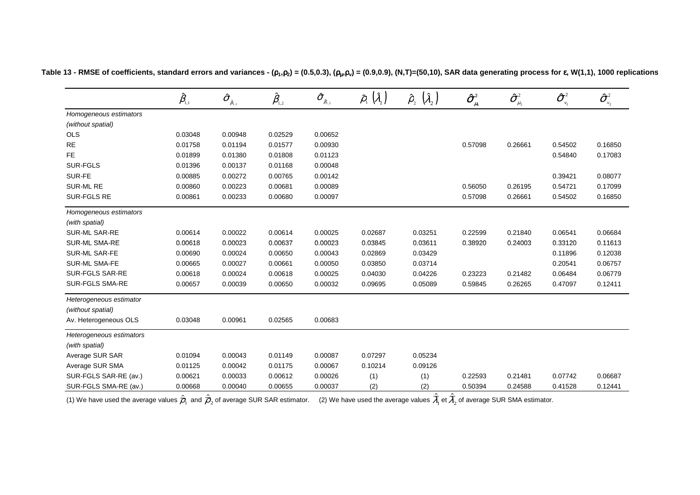|                          | $\hat{\beta}_{\scriptscriptstyle\!\scriptscriptstyle 1,1}$ | $\boldsymbol{\hat{\sigma}}_{_{\hat{\beta}_{\mathrm{i},\mathrm{i}}}}$ | $\hat{\pmb \beta}_{\scriptscriptstyle 1,2}$ | $\boldsymbol{\hat{\sigma}}_{_{\hat{\beta}_{\mathrm{l},2}}}$ | $(\hat{\lambda}_1)$<br>$\hat{\rho}_{\shortparallel}$ | $(\hat{\lambda}_2)$<br>$\hat{\rho}_{\scriptscriptstyle 2}^{}$ | $\boldsymbol{\hat{\sigma}}^{\scriptscriptstyle 2}_{\scriptscriptstyle \mu_{\scriptscriptstyle 1}}$ | $\hat{\sigma}^{\scriptscriptstyle 2}_{\scriptscriptstyle \dots}$<br>$\mu_{2}$ | $\boldsymbol{\hat{\sigma}}^{_2}$<br>$v_1$ | $\hat{\sigma}^{\scriptscriptstyle 2}$<br>$\boldsymbol{\nu}_2$ |
|--------------------------|------------------------------------------------------------|----------------------------------------------------------------------|---------------------------------------------|-------------------------------------------------------------|------------------------------------------------------|---------------------------------------------------------------|----------------------------------------------------------------------------------------------------|-------------------------------------------------------------------------------|-------------------------------------------|---------------------------------------------------------------|
| Homogeneous estimators   |                                                            |                                                                      |                                             |                                                             |                                                      |                                                               |                                                                                                    |                                                                               |                                           |                                                               |
| (without spatial)        |                                                            |                                                                      |                                             |                                                             |                                                      |                                                               |                                                                                                    |                                                                               |                                           |                                                               |
| OLS                      | 0.03048                                                    | 0.00948                                                              | 0.02529                                     | 0.00652                                                     |                                                      |                                                               |                                                                                                    |                                                                               |                                           |                                                               |
| <b>RE</b>                | 0.01758                                                    | 0.01194                                                              | 0.01577                                     | 0.00930                                                     | $\overline{\phantom{0}}$                             | —                                                             | 0.57098                                                                                            | 0.26661                                                                       | 0.54502                                   | 0.16850                                                       |
| <b>FE</b>                | 0.01899                                                    | 0.01380                                                              | 0.01808                                     | 0.01123                                                     |                                                      |                                                               |                                                                                                    |                                                                               | 0.54840                                   | 0.17083                                                       |
| <b>SUR-FGLS</b>          | 0.01396                                                    | 0.00137                                                              | 0.01168                                     | 0.00048                                                     |                                                      |                                                               |                                                                                                    |                                                                               |                                           |                                                               |
| SUR-FE                   | 0.00885                                                    | 0.00272                                                              | 0.00765                                     | 0.00142                                                     |                                                      |                                                               |                                                                                                    |                                                                               | 0.39421                                   | 0.08077                                                       |
| SUR-ML RE                | 0.00860                                                    | 0.00223                                                              | 0.00681                                     | 0.00089                                                     | $\overline{\phantom{0}}$                             | —                                                             | 0.56050                                                                                            | 0.26195                                                                       | 0.54721                                   | 0.17099                                                       |
| SUR-FGLS RE              | 0.00861                                                    | 0.00233                                                              | 0.00680                                     | 0.00097                                                     |                                                      |                                                               | 0.57098                                                                                            | 0.26661                                                                       | 0.54502                                   | 0.16850                                                       |
| Homogeneous estimators   |                                                            |                                                                      |                                             |                                                             |                                                      |                                                               |                                                                                                    |                                                                               |                                           |                                                               |
| (with spatial)           |                                                            |                                                                      |                                             |                                                             |                                                      |                                                               |                                                                                                    |                                                                               |                                           |                                                               |
| SUR-ML SAR-RE            | 0.00614                                                    | 0.00022                                                              | 0.00614                                     | 0.00025                                                     | 0.02687                                              | 0.03251                                                       | 0.22599                                                                                            | 0.21840                                                                       | 0.06541                                   | 0.06684                                                       |
| <b>SUR-ML SMA-RE</b>     | 0.00618                                                    | 0.00023                                                              | 0.00637                                     | 0.00023                                                     | 0.03845                                              | 0.03611                                                       | 0.38920                                                                                            | 0.24003                                                                       | 0.33120                                   | 0.11613                                                       |
| SUR-ML SAR-FE            | 0.00690                                                    | 0.00024                                                              | 0.00650                                     | 0.00043                                                     | 0.02869                                              | 0.03429                                                       |                                                                                                    |                                                                               | 0.11896                                   | 0.12038                                                       |
| <b>SUR-ML SMA-FE</b>     | 0.00665                                                    | 0.00027                                                              | 0.00661                                     | 0.00050                                                     | 0.03850                                              | 0.03714                                                       |                                                                                                    |                                                                               | 0.20541                                   | 0.06757                                                       |
| SUR-FGLS SAR-RE          | 0.00618                                                    | 0.00024                                                              | 0.00618                                     | 0.00025                                                     | 0.04030                                              | 0.04226                                                       | 0.23223                                                                                            | 0.21482                                                                       | 0.06484                                   | 0.06779                                                       |
| <b>SUR-FGLS SMA-RE</b>   | 0.00657                                                    | 0.00039                                                              | 0.00650                                     | 0.00032                                                     | 0.09695                                              | 0.05089                                                       | 0.59845                                                                                            | 0.26265                                                                       | 0.47097                                   | 0.12411                                                       |
| Heterogeneous estimator  |                                                            |                                                                      |                                             |                                                             |                                                      |                                                               |                                                                                                    |                                                                               |                                           |                                                               |
| (without spatial)        |                                                            |                                                                      |                                             |                                                             |                                                      |                                                               |                                                                                                    |                                                                               |                                           |                                                               |
| Av. Heterogeneous OLS    | 0.03048                                                    | 0.00961                                                              | 0.02565                                     | 0.00683                                                     |                                                      |                                                               |                                                                                                    |                                                                               |                                           |                                                               |
| Heterogeneous estimators |                                                            |                                                                      |                                             |                                                             |                                                      |                                                               |                                                                                                    |                                                                               |                                           |                                                               |
| (with spatial)           |                                                            |                                                                      |                                             |                                                             |                                                      |                                                               |                                                                                                    |                                                                               |                                           |                                                               |
| Average SUR SAR          | 0.01094                                                    | 0.00043                                                              | 0.01149                                     | 0.00087                                                     | 0.07297                                              | 0.05234                                                       |                                                                                                    |                                                                               |                                           |                                                               |
| Average SUR SMA          | 0.01125                                                    | 0.00042                                                              | 0.01175                                     | 0.00067                                                     | 0.10214                                              | 0.09126                                                       |                                                                                                    |                                                                               |                                           |                                                               |
| SUR-FGLS SAR-RE (av.)    | 0.00621                                                    | 0.00033                                                              | 0.00612                                     | 0.00026                                                     | (1)                                                  | (1)                                                           | 0.22593                                                                                            | 0.21481                                                                       | 0.07742                                   | 0.06687                                                       |
| SUR-FGLS SMA-RE (av.)    | 0.00668                                                    | 0.00040                                                              | 0.00655                                     | 0.00037                                                     | (2)                                                  | (2)                                                           | 0.50394                                                                                            | 0.24588                                                                       | 0.41528                                   | 0.12441                                                       |

Table 13 - RMSE of coefficients, standard errors and variances -  $(p_1, p_2) = (0.5, 0.3)$ ,  $(p_\mu, p_\nu) = (0.9, 0.9)$ ,  $(N, T) = (50, 10)$ , SAR data generating process for  $\epsilon$ , W(1,1), 1000 replications

(1) We have used the average values  $\hat{\overline{\rho}}_1$  and  $\hat{\overline{\rho}}_2$  of average SUR SAR estimator.  $\quad$  (2) We have used the average values  $\overline{\lambda}_1$  et  $\overline{\lambda}_2$  of average SUR SMA estimator.  $\hat{\bar{\sigma}}_1$  and  $\hat{\bar{\rho}}_2$  1ˆ $\lambda_1$  et  $\lambda_2$ ˆλ